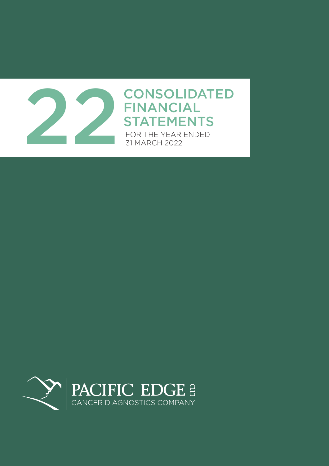

# FINANCIAL **STATEMENTS**

FOR THE YEAR ENDED 31 MARCH 2022

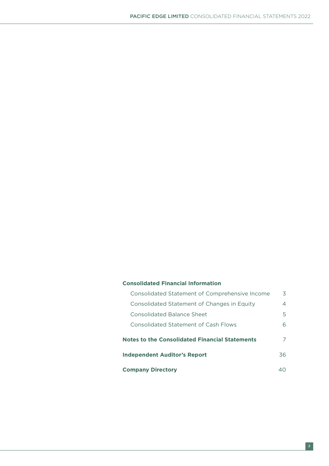### **Consolidated Financial Information**

| Consolidated Statement of Comprehensive Income        | 3   |
|-------------------------------------------------------|-----|
| Consolidated Statement of Changes in Equity           | 4   |
| Consolidated Balance Sheet                            | 5.  |
| <b>Consolidated Statement of Cash Flows</b>           | 6.  |
| <b>Notes to the Consolidated Financial Statements</b> | 7   |
| <b>Independent Auditor's Report</b>                   | 36. |
| <b>Company Directory</b>                              |     |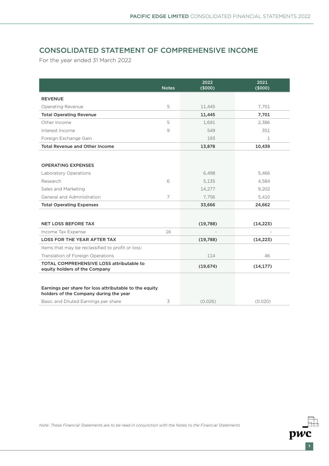# CONSOLIDATED STATEMENT OF COMPREHENSIVE INCOME

For the year ended 31 March 2022

|                                                                                  | <b>Notes</b>   | 2022<br>(\$000) | 2021<br>(5000) |
|----------------------------------------------------------------------------------|----------------|-----------------|----------------|
| <b>REVENUE</b>                                                                   |                |                 |                |
| Operating Revenue                                                                | 5              | 11,445          | 7,701          |
| <b>Total Operating Revenue</b>                                                   |                | 11,445          | 7,701          |
| Other Income                                                                     | 5              | 1,691           | 2,386          |
| Interest Income                                                                  | 9              | 549             | 351            |
| Foreign Exchange Gain                                                            |                | 193             | 1              |
| <b>Total Revenue and Other Income</b>                                            |                | 13,878          | 10,439         |
|                                                                                  |                |                 |                |
| <b>OPERATING EXPENSES</b>                                                        |                |                 |                |
| Laboratory Operations                                                            |                | 6,498           | 5,466          |
| Research                                                                         | 6              | 5,135           | 4,584          |
| Sales and Marketing                                                              |                | 14,277          | 9,202          |
| General and Administration                                                       | $\overline{7}$ | 7,756           | 5,410          |
| <b>Total Operating Expenses</b>                                                  |                | 33,666          | 24,662         |
|                                                                                  |                |                 |                |
| <b>NET LOSS BEFORE TAX</b>                                                       |                | (19,788)        | (14, 223)      |
| Income Tax Expense                                                               | 16             |                 |                |
| <b>LOSS FOR THE YEAR AFTER TAX</b>                                               |                | (19,788)        | (14, 223)      |
| Items that may be reclassified to profit or loss:                                |                |                 |                |
| Translation of Foreign Operations                                                |                | 114             | 46             |
| <b>TOTAL COMPREHENSIVE LOSS attributable to</b><br>equity holders of the Company |                | (19, 674)       | (14, 177)      |
| Earnings per share for loss attributable to the equity                           |                |                 |                |
| holders of the Company during the year                                           |                |                 |                |
| Basic and Diluted Earnings per share                                             | 3              | (0.026)         | (0.020)        |

*Note: These Financial Statements are to be read in conjunction with the Notes to the Financial Statements*

 $\overline{pwc}$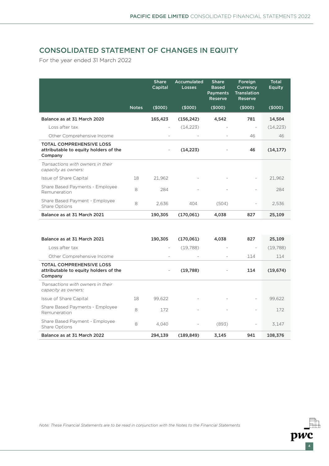$p\overrightarrow{wc}$ 

# CONSOLIDATED STATEMENT OF CHANGES IN EQUITY

For the year ended 31 March 2022

|                                                                                     |              | <b>Share</b><br>Capital  | Accumulated<br>Losses | <b>Share</b><br><b>Based</b><br><b>Payments</b><br><b>Reserve</b> | Foreign<br>Currency<br><b>Translation</b><br>Reserve | <b>Total</b><br><b>Equity</b> |
|-------------------------------------------------------------------------------------|--------------|--------------------------|-----------------------|-------------------------------------------------------------------|------------------------------------------------------|-------------------------------|
|                                                                                     | <b>Notes</b> | (\$000)                  | (\$000)               | (5000)                                                            | (\$000)                                              | (\$000)                       |
| Balance as at 31 March 2020                                                         |              | 165,423                  | (156, 242)            | 4,542                                                             | 781                                                  | 14,504                        |
| Loss after tax                                                                      |              | $\overline{\phantom{a}}$ | (14,223)              |                                                                   | $\overline{\phantom{a}}$                             | (14, 223)                     |
| Other Comprehensive Income                                                          |              |                          |                       |                                                                   | 46                                                   | 46                            |
| <b>TOTAL COMPREHENSIVE LOSS</b><br>attributable to equity holders of the<br>Company |              | $\overline{\phantom{a}}$ | (14, 223)             |                                                                   | 46                                                   | (14, 177)                     |
| Transactions with owners in their<br>capacity as owners:                            |              |                          |                       |                                                                   |                                                      |                               |
| Issue of Share Capital                                                              | 18           | 21,962                   |                       |                                                                   | $\overline{\phantom{a}}$                             | 21,962                        |
| Share Based Payments - Employee<br>Remuneration                                     | 8            | 284                      |                       |                                                                   | $\overline{\phantom{a}}$                             | 284                           |
| Share Based Payment - Employee<br>Share Options                                     | 8            | 2,636                    | 404                   | (504)                                                             | -                                                    | 2,536                         |
| Balance as at 31 March 2021                                                         |              | 190,305                  | (170,061)             | 4,038                                                             | 827                                                  | 25,109                        |

| Balance as at 31 March 2021                                                         |    | 190,305                  | (170,061)                | 4,038                    | 827                      | 25,109    |
|-------------------------------------------------------------------------------------|----|--------------------------|--------------------------|--------------------------|--------------------------|-----------|
| Loss after tax                                                                      |    | $\overline{\phantom{a}}$ | (19.788)                 |                          | $\overline{\phantom{a}}$ | (19,788)  |
| Other Comprehensive Income                                                          |    |                          | $\overline{\phantom{0}}$ | $\overline{\phantom{a}}$ | 114                      | 114       |
| <b>TOTAL COMPREHENSIVE LOSS</b><br>attributable to equity holders of the<br>Company |    | $\overline{\phantom{a}}$ | (19,788)                 |                          | 114                      | (19, 674) |
| Transactions with owners in their<br>capacity as owners:                            |    |                          |                          |                          |                          |           |
| Issue of Share Capital                                                              | 18 | 99.622                   |                          |                          | $\overline{\phantom{a}}$ | 99,622    |
| Share Based Payments - Employee<br>Remuneration                                     | 8  | 172                      |                          |                          |                          | 172       |
| Share Based Payment - Employee<br>Share Options                                     | 8  | 4.040                    |                          | (893)                    | $\overline{\phantom{a}}$ | 3.147     |
| Balance as at 31 March 2022                                                         |    | 294.139                  | (189, 849)               | 3,145                    | 941                      | 108,376   |

*Note: These Financial Statements are to be read in conjunction with the Notes to the Financial Statements*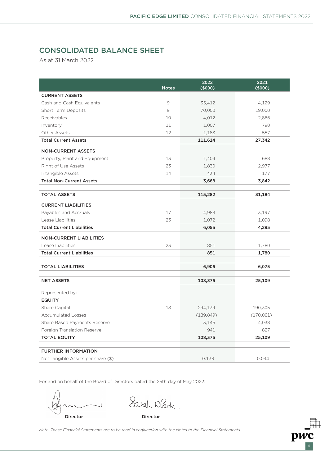# CONSOLIDATED BALANCE SHEET

As at 31 March 2022

|                                    | <b>Notes</b>  | 2022<br>$($ \$000) | 2021<br>$($ \$000) |
|------------------------------------|---------------|--------------------|--------------------|
| <b>CURRENT ASSETS</b>              |               |                    |                    |
| Cash and Cash Equivalents          | $\mathcal{G}$ | 35,412             | 4,129              |
| Short Term Deposits                | 9             | 70,000             | 19,000             |
| Receivables                        | 10            | 4,012              | 2,866              |
| Inventory                          | 11            | 1,007              | 790                |
| Other Assets                       | 12            | 1,183              | 557                |
| <b>Total Current Assets</b>        |               | 111,614            | 27,342             |
| <b>NON-CURRENT ASSETS</b>          |               |                    |                    |
| Property, Plant and Equipment      | 13            | 1,404              | 688                |
| Right of Use Assets                | 23            | 1,830              | 2,977              |
| Intangible Assets                  | 14            | 434                | 177                |
| <b>Total Non-Current Assets</b>    |               | 3,668              | 3,842              |
|                                    |               |                    |                    |
| <b>TOTAL ASSETS</b>                |               | 115,282            | 31,184             |
| <b>CURRENT LIABILITIES</b>         |               |                    |                    |
| Payables and Accruals              | 17            | 4,983              | 3,197              |
| Lease Liabilities                  | 23            | 1,072              | 1,098              |
| <b>Total Current Liabilities</b>   |               | 6,055              | 4,295              |
| <b>NON-CURRENT LIABILITIES</b>     |               |                    |                    |
| Lease Liabilities                  | 23            | 851                | 1,780              |
| <b>Total Current Liabilities</b>   |               | 851                | 1,780              |
| <b>TOTAL LIABILITIES</b>           |               | 6,906              | 6,075              |
|                                    |               |                    |                    |
| <b>NET ASSETS</b>                  |               | 108,376            | 25,109             |
| Represented by:                    |               |                    |                    |
| <b>EQUITY</b>                      |               |                    |                    |
| Share Capital                      | 18            | 294,139            | 190,305            |
| <b>Accumulated Losses</b>          |               | (189, 849)         | (170,061)          |
| Share Based Payments Reserve       |               | 3,145              | 4,038              |
| Foreign Translation Reserve        |               | 941                | 827                |
| <b>TOTAL EQUITY</b>                |               | 108,376            | 25,109             |
| <b>FURTHER INFORMATION</b>         |               |                    |                    |
| Net Tangible Assets per share (\$) |               | 0.133              | 0.034              |

For and on behalf of the Board of Directors dated the 25th day of May 2022:

Director Director

Sarah Neark

5

pwc

*Note: These Financial Statements are to be read in conjunction with the Notes to the Financial Statements*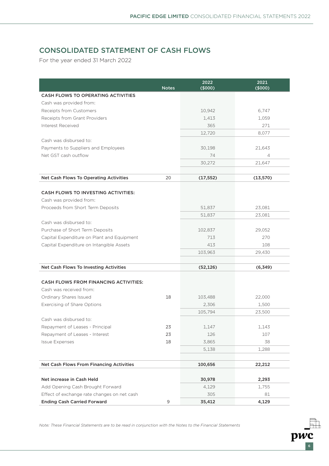$\bar{p}w\bar{c}$ 

# CONSOLIDATED STATEMENT OF CASH FLOWS

For the year ended 31 March 2022

|                                                                               |              | 2022           | 2021          |
|-------------------------------------------------------------------------------|--------------|----------------|---------------|
| <b>CASH FLOWS TO OPERATING ACTIVITIES</b>                                     | <b>Notes</b> | (5000)         | (\$000)       |
| Cash was provided from:                                                       |              |                |               |
| Receipts from Customers                                                       |              | 10,942         | 6,747         |
| Receipts from Grant Providers                                                 |              | 1,413          | 1,059         |
| Interest Received                                                             |              | 365            | 271           |
|                                                                               |              | 12,720         | 8.077         |
| Cash was disbursed to:                                                        |              |                |               |
| Payments to Suppliers and Employees                                           |              | 30,198         | 21,643        |
| Net GST cash outflow                                                          |              | 74             | 4             |
|                                                                               |              | 30,272         | 21,647        |
|                                                                               |              |                |               |
| Net Cash Flows To Operating Activities                                        | 20           | (17, 552)      | (13, 570)     |
|                                                                               |              |                |               |
| <b>CASH FLOWS TO INVESTING ACTIVITIES:</b>                                    |              |                |               |
| Cash was provided from:                                                       |              |                |               |
| Proceeds from Short Term Deposits                                             |              | 51,837         | 23,081        |
| Cash was disbursed to:                                                        |              | 51,837         | 23,081        |
|                                                                               |              |                |               |
| Purchase of Short Term Deposits<br>Capital Expenditure on Plant and Equipment |              | 102,837<br>713 | 29,052<br>270 |
| Capital Expenditure on Intangible Assets                                      |              | 413            | 108           |
|                                                                               |              | 103,963        | 29,430        |
|                                                                               |              |                |               |
| Net Cash Flows To Investing Activities                                        |              | (52, 126)      | (6, 349)      |
|                                                                               |              |                |               |
| <b>CASH FLOWS FROM FINANCING ACTIVITIES:</b>                                  |              |                |               |
| Cash was received from:                                                       |              |                |               |
| Ordinary Shares Issued                                                        | 18           | 103,488        | 22,000        |
| Exercising of Share Options                                                   |              | 2,306          | 1,500         |
|                                                                               |              | 105,794        | 23,500        |
| Cash was disbursed to:                                                        |              |                |               |
| Repayment of Leases - Principal                                               | 23           | 1,147          | 1,143         |
| Repayment of Leases - Interest                                                | 23           | 126            | 107           |
| <b>Issue Expenses</b>                                                         | 18           | 3,865          | 38            |
|                                                                               |              | 5,138          | 1,288         |
|                                                                               |              |                |               |
| Net Cash Flows From Financing Activities                                      |              | 100,656        | 22,212        |
|                                                                               |              |                |               |
| Net increase in Cash Held                                                     |              | 30,978         | 2,293         |
| Add Opening Cash Brought Forward                                              |              | 4,129          | 1,755         |
| Effect of exchange rate changes on net cash                                   |              | 305            | 81            |
| <b>Ending Cash Carried Forward</b>                                            | 9            | 35,412         | 4,129         |

*Note: These Financial Statements are to be read in conjunction with the Notes to the Financial Statements*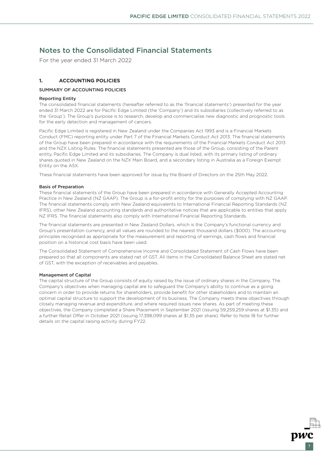For the year ended 31 March 2022

### **1. ACCOUNTING POLICIES**

#### SUMMARY OF ACCOUNTING POLICIES

#### Reporting Entity

The consolidated financial statements (hereafter referred to as the 'financial statements') presented for the year ended 31 March 2022 are for Pacific Edge Limited (the 'Company') and its subsidiaries (collectively referred to as the 'Group'). The Group's purpose is to research, develop and commercialise new diagnostic and prognostic tools for the early detection and management of cancers.

Pacific Edge Limited is registered in New Zealand under the Companies Act 1993 and is a Financial Markets Conduct (FMC) reporting entity under Part 7 of the Financial Markets Conduct Act 2013. The financial statements of the Group have been prepared in accordance with the requirements of the Financial Markets Conduct Act 2013 and the NZX Listing Rules. The financial statements presented are those of the Group, consisting of the Parent entity, Pacific Edge Limited and its subsidiaries. The Company is dual listed, with its primary listing of ordinary shares quoted in New Zealand on the NZX Main Board, and a secondary listing in Australia as a Foreign Exempt Entity on the ASX.

These financial statements have been approved for issue by the Board of Directors on the 25th May 2022.

#### Basis of Preparation

These financial statements of the Group have been prepared in accordance with Generally Accepted Accounting Practice in New Zealand (NZ GAAP). The Group is a for-profit entity for the purposes of complying with NZ GAAP. The financial statements comply with New Zealand equivalents to International Financial Reporting Standards (NZ IFRS), other New Zealand accounting standards and authoritative notices that are applicable to entities that apply NZ IFRS. The financial statements also comply with International Financial Reporting Standards.

The financial statements are presented in New Zealand Dollars, which is the Company's functional currency and Group's presentation currency, and all values are rounded to the nearest thousand dollars (\$000). The accounting principles recognised as appropriate for the measurement and reporting of earnings, cash flows and financial position on a historical cost basis have been used.

The Consolidated Statement of Comprehensive Income and Consolidated Statement of Cash Flows have been prepared so that all components are stated net of GST. All items in the Consolidated Balance Sheet are stated net of GST, with the exception of receivables and payables.

#### Management of Capital

The capital structure of the Group consists of equity raised by the issue of ordinary shares in the Company. The Company's objectives when managing capital are to safeguard the Company's ability to continue as a going concern in order to provide returns for shareholders, provide benefit for other stakeholders and to maintain an optimal capital structure to support the development of its business. The Company meets these objectives through closely managing revenue and expenditure, and where required issues new shares. As part of meeting these objectives, the Company completed a Share Placement in September 2021 (issuing 59,259,259 shares at \$1.35) and a further Retail Offer in October 2021 (issuing 17,398,099 shares at \$1.35 per share). Refer to Note 18 for further details on the capital raising activity during FY22.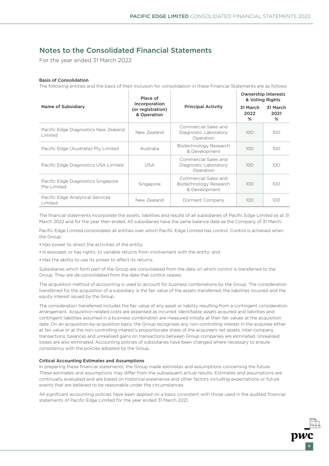For the year ended 31 March 2022

#### Basis of Consolidation

The following entities and the basis of their inclusion for consolidation in these Financial Statements are as follows:

|                                                   | Place of                                                                  |                                                                 | <b>Ownership Interests</b><br>& Voting Rights |                       |  |
|---------------------------------------------------|---------------------------------------------------------------------------|-----------------------------------------------------------------|-----------------------------------------------|-----------------------|--|
| Name of Subsidiary                                | Incorporation<br>(or registration)<br>& Operation                         |                                                                 | 31 March<br>2022<br>℅                         | 31 March<br>2021<br>℅ |  |
| Pacific Edge Diagnostics New Zealand<br>Limited   | Commercial Sales and<br>New Zealand<br>Diagnostic Laboratory<br>Operation |                                                                 | 100                                           | 100                   |  |
| Pacific Edge (Australia) Pty Limited              | Australia                                                                 | Biotechnology Research<br>& Development                         |                                               | 100 <sub>o</sub>      |  |
| Pacific Edge Diagnostics USA Limited              | Commercial Sales and<br><b>USA</b><br>Diagnostic Laboratory<br>Operation  |                                                                 | 100 <sub>1</sub>                              | 100                   |  |
| Pacific Edge Diagnostics Singapore<br>Pte Limited | Singapore                                                                 | Commercial Sales and<br>Biotechnology Research<br>& Development | 100 <sub>1</sub>                              | 100                   |  |
| Pacific Edge Analytical Services<br>Limited       | New Zealand                                                               | Dormant Company                                                 | 100                                           | 100                   |  |

The financial statements incorporate the assets, liabilities and results of all subsidiaries of Pacific Edge Limited as at 31 March 2022 and for the year then ended. All subsidiaries have the same balance date as the Company of 31 March.

Pacific Edge Limited consolidates all entities over which Pacific Edge Limited has control. Control is achieved when the Group:

- Has power to direct the activities of the entity;
- Is exposed, or has rights, to variable returns from involvement with the entity; and
- Has the ability to use its power to affect its returns.

Subsidiaries which form part of the Group are consolidated from the date on which control is transferred to the Group. They are de-consolidated from the date that control ceases.

The acquisition method of accounting is used to account for business combinations by the Group. The consideration transferred for the acquisition of a subsidiary is the fair value of the assets transferred, the liabilities incurred and the equity interest issued by the Group.

The consideration transferred includes the fair value of any asset or liability resulting from a contingent consideration arrangement. Acquisition-related costs are expensed as incurred. Identifiable assets acquired and liabilities and contingent liabilities assumed in a business combination are measured initially at their fair values at the acquisition date. On an acquisition-by-acquisition basis, the Group recognises any non-controlling interest in the acquiree either at fair value or at the non-controlling interest's proportionate share of the acquiree's net assets. Inter-company transactions, balances and unrealised gains on transactions between Group companies are eliminated. Unrealised losses are also eliminated. Accounting policies of subsidiaries have been changed where necessary to ensure consistency with the policies adopted by the Group.

#### Critical Accounting Estimates and Assumptions

In preparing these financial statements, the Group made estimates and assumptions concerning the future. These estimates and assumptions may differ from the subsequent actual results. Estimates and assumptions are continually evaluated and are based on historical experience and other factors including expectations or future events that are believed to be reasonable under the circumstances.

All significant accounting policies have been applied on a basis consistent with those used in the audited financial statements of Pacific Edge Limited for the year ended 31 March 2021.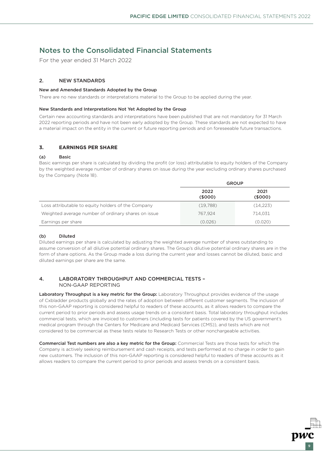For the year ended 31 March 2022

### 2. NEW STANDARDS

#### New and Amended Standards Adopted by the Group

There are no new standards or interpretations material to the Group to be applied during the year.

#### New Standards and Interpretations Not Yet Adopted by the Group

Certain new accounting standards and interpretations have been published that are not mandatory for 31 March 2022 reporting periods and have not been early adopted by the Group. These standards are not expected to have a material impact on the entity in the current or future reporting periods and on foreseeable future transactions.

### **3. EARNINGS PER SHARE**

#### (a) Basic

Basic earnings per share is calculated by dividing the profit (or loss) attributable to equity holders of the Company by the weighted average number of ordinary shares on issue during the year excluding ordinary shares purchased by the Company (Note 18).

|                                                     | <b>GROUP</b>    |                 |  |  |
|-----------------------------------------------------|-----------------|-----------------|--|--|
|                                                     | 2022<br>(\$000) | 2021<br>(\$000) |  |  |
| Loss attributable to equity holders of the Company  | (19,788)        | (14, 223)       |  |  |
| Weighted average number of ordinary shares on issue | 767.924         | 714.031         |  |  |
| Earnings per share                                  | (0.026)         | (0.020)         |  |  |

### (b) Diluted

Diluted earnings per share is calculated by adjusting the weighted average number of shares outstanding to assume conversion of all dilutive potential ordinary shares. The Group's dilutive potential ordinary shares are in the form of share options. As the Group made a loss during the current year and losses cannot be diluted, basic and diluted earnings per share are the same.

### 4. LABORATORY THROUGHPUT AND COMMERCIAL TESTS – NON-GAAP REPORTING

Laboratory Throughput is a key metric for the Group: Laboratory Throughput provides evidence of the usage of Cxbladder products globally and the rates of adoption between different customer segments. The inclusion of this non-GAAP reporting is considered helpful to readers of these accounts, as it allows readers to compare the current period to prior periods and assess usage trends on a consistent basis. Total laboratory throughput includes commercial tests, which are invoiced to customers (including tests for patients covered by the US government's medical program through the Centers for Medicare and Medicaid Services (CMS)), and tests which are not considered to be commercial as these tests relate to Research Tests or other nonchargeable activities.

Commercial Test numbers are also a key metric for the Group: Commercial Tests are those tests for which the Company is actively seeking reimbursement and cash receipts, and tests performed at no charge in order to gain new customers. The inclusion of this non-GAAP reporting is considered helpful to readers of these accounts as it allows readers to compare the current period to prior periods and assess trends on a consistent basis.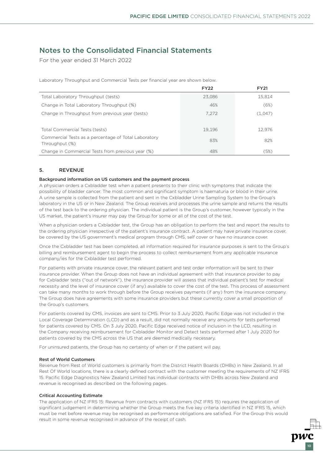For the year ended 31 March 2022

Laboratory Throughput and Commercial Tests per financial year are shown below.

|                                                                        | <b>FY22</b> | <b>FY21</b> |
|------------------------------------------------------------------------|-------------|-------------|
| Total Laboratory Throughput (tests)                                    | 23.086      | 15.814      |
| Change in Total Laboratory Throughput (%)                              | 46%         | (6%)        |
| Change in Throughput from previous year (tests)                        | 7.272       | (1,047)     |
|                                                                        |             |             |
| Total Commercial Tests (tests)                                         | 19,196      | 12,976      |
| Commercial Tests as a percentage of Total Laboratory<br>Throughput (%) | 83%         | 82%         |
| Change in Commercial Tests from previous year (%)                      | 48%         | (5%)        |

#### 5. REVENUE

#### Background information on US customers and the payment process

A physician orders a Cxbladder test when a patient presents to their clinic with symptoms that indicate the possibility of bladder cancer. The most common and significant symptom is haematuria or blood in their urine. A urine sample is collected from the patient and sent in the Cxbladder Urine Sampling System to the Group's laboratory in the US or in New Zealand. The Group receives and processes the urine sample and returns the results of the test back to the ordering physician. The individual patient is the Group's customer, however typically in the US market, the patient's insurer may pay the Group for some or all of the cost of the test.

When a physician orders a Cxbladder test, the Group has an obligation to perform the test and report the results to the ordering physician irrespective of the patient's insurance contract. A patient may have private insurance cover, be covered by the US government's medical program through CMS, self cover or have no insurance cover.

Once the Cxbladder test has been completed, all information required for insurance purposes is sent to the Group's billing and reimbursement agent to begin the process to collect reimbursement from any applicable insurance company/ies for the Cxbladder test performed.

For patients with private insurance cover, the relevant patient and test order information will be sent to their insurance provider. When the Group does not have an individual agreement with that insurance provider to pay for Cxbladder tests ("out of network"), the insurance provider will assess that individual patient's test for medical necessity and the level of insurance cover (if any) available to cover the cost of the test. This process of assessment can take many months to work through before the Group receives payments (if any) from the insurance company. The Group does have agreements with some insurance providers but these currently cover a small proportion of the Group's customers.

For patients covered by CMS, invoices are sent to CMS. Prior to 3 July 2020, Pacific Edge was not included in the Local Coverage Determination (LCD) and as a result, did not normally receive any amounts for tests performed for patients covered by CMS. On 3 July 2020, Pacific Edge received notice of inclusion in the LCD, resulting in the Company receiving reimbursement for Cxbladder Monitor and Detect tests performed after 1 July 2020 for patients covered by the CMS across the US that are deemed medically necessary.

For uninsured patients, the Group has no certainty of when or if the patient will pay.

#### Rest of World Customers

Revenue from Rest of World customers is primarily from the District Health Boards (DHBs) in New Zealand. In all Rest Of World locations, there is a clearly defined contract with the customer meeting the requirements of NZ IFRS 15. Pacific Edge Diagnostics New Zealand Limited has individual contracts with DHBs across New Zealand and revenue is recognised as described on the following pages.

#### Critical Accounting Estimate

The application of NZ IFRS 15: Revenue from contracts with customers (NZ IFRS 15) requires the application of significant judgement in determining whether the Group meets the five key criteria identified in NZ IFRS 15, which must be met before revenue may be recognised as performance obligations are satisfied. For the Group this would result in some revenue recognised in advance of the receipt of cash.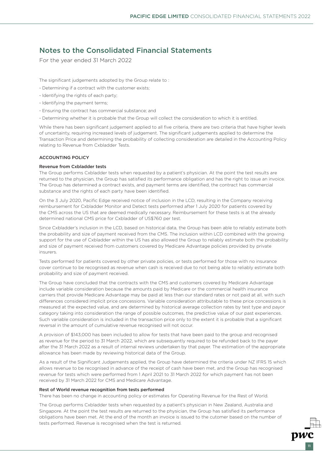For the year ended 31 March 2022

The significant judgements adopted by the Group relate to :

- Determining if a contract with the customer exists;
- Identifying the rights of each party;
- Identifying the payment terms;
- Ensuring the contract has commercial substance; and
- Determining whether it is probable that the Group will collect the consideration to which it is entitled.

While there has been significant judgement applied to all five criteria, there are two criteria that have higher levels of uncertainty, requiring increased levels of judgement. The significant judgements applied to determine the Transaction Price and determining the probability of collecting consideration are detailed in the Accounting Policy relating to Revenue from Cxbladder Tests.

#### ACCOUNTING POLICY

#### Revenue from Cxbladder tests

The Group performs Cxbladder tests when requested by a patient's physician. At the point the test results are returned to the physician, the Group has satisfied its performance obligation and has the right to issue an invoice. The Group has determined a contract exists, and payment terms are identified, the contract has commercial substance and the rights of each party have been identified.

On the 3 July 2020, Pacific Edge received notice of inclusion in the LCD, resulting in the Company receiving reimbursement for Cxbladder Monitor and Detect tests performed after 1 July 2020 for patients covered by the CMS across the US that are deemed medically necessary. Reimbursement for these tests is at the already determined national CMS price for Cxbladder of US\$760 per test.

Since Cxbladder's inclusion in the LCD, based on historical data, the Group has been able to reliably estimate both the probability and size of payment received from the CMS. The inclusion within LCD combined with the growing support for the use of Cxbladder within the US has also allowed the Group to reliably estimate both the probability and size of payment received from customers covered by Medicare Advantage policies provided by private insurers.

Tests performed for patients covered by other private policies, or tests performed for those with no insurance cover continue to be recognised as revenue when cash is received due to not being able to reliably estimate both probability and size of payment received.

The Group have concluded that the contracts with the CMS and customers covered by Medicare Advantage include variable consideration because the amounts paid by Medicare or the commercial health insurance carriers that provide Medicare Advantage may be paid at less than our standard rates or not paid at all, with such differences considered implicit price concessions. Variable consideration attributable to these price concessions is measured at the expected value, and are determined by historical average collection rates by test type and payor category taking into consideration the range of possible outcomes, the predictive value of our past experiences. Such variable consideration is included in the transaction price only to the extent it is probable that a significant reversal in the amount of cumulative revenue recognised will not occur.

A provision of \$143,000 has been included to allow for tests that have been paid to the group and recognised as revenue for the period to 31 March 2022, which are subsequently required to be refunded back to the payer after the 31 March 2022 as a result of internal reviews undertaken by that payer. The estimation of the appropriate allowance has been made by reviewing historical data of the Group.

As a result of the Significant Judgements applied, the Group have determined the criteria under NZ IFRS 15 which allows revenue to be recognised in advance of the receipt of cash have been met, and the Group has recognised revenue for tests which were performed from 1 April 2021 to 31 March 2022 for which payment has not been received by 31 March 2022 for CMS and Medicare Advantage.

#### Rest of World revenue recognition from tests performed

There has been no change in accounting policy or estimates for Operating Revenue for the Rest of World.

The Group performs Cxbladder tests when requested by a patient's physician in New Zealand, Australia and Singapore. At the point the test results are returned to the physician, the Group has satisfied its performance obligations have been met. At the end of the month an invoice is issued to the cutomer based on the number of tests performed. Revenue is recognised when the test is returned.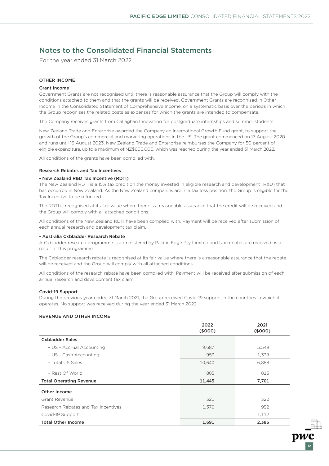For the year ended 31 March 2022

#### OTHER INCOME

#### Grant Income

Government Grants are not recognised until there is reasonable assurance that the Group will comply with the conditions attached to them and that the grants will be received. Government Grants are recognised in Other Income in the Consolidated Statement of Comprehensive Income, on a systematic basis over the periods in which the Group recognises the related costs as expenses for which the grants are intended to compensate.

The Company receives grants from Callaghan Innovation for postgraduate internships and summer students.

New Zealand Trade and Enterprise awarded the Company an International Growth Fund grant, to support the growth of the Group's commercial and marketing operations in the US. The grant commenced on 17 August 2020 and runs until 16 August 2023. New Zealand Trade and Enterprise reimburses the Company for 50 percent of eligible expenditure, up to a maximum of NZ\$600,000, which was reached during the year ended 31 March 2022.

All conditions of the grants have been complied with.

#### Research Rebates and Tax Incentives

#### - New Zealand R&D Tax Incentive (RDTI)

The New Zealand RDTI is a 15% tax credit on the money invested in eligible research and development (R&D) that has occurred in New Zealand. As the New Zealand companies are in a tax loss position, the Group is eligible for the Tax Incentive to be refunded.

The RDTI is recognised at its fair value where there is a reasonable assurance that the credit will be received and the Group will comply with all attached conditions.

All conditions of the New Zealand RDTI have been complied with. Payment will be received after submission of each annual research and development tax claim.

#### - Australia Cxbladder Research Rebate

A Cxbladder research programme is administered by Pacific Edge Pty Limited and tax rebates are received as a result of this programme.

The Cxbladder research rebate is recognised at its fair value where there is a reasonable assurance that the rebate will be received and the Group will comply with all attached conditions.

All conditions of the research rebate have been complied with. Payment will be received after submission of each annual research and development tax claim.

#### Covid-19 Support

During the previous year ended 31 March 2021, the Group received Covid-19 support in the countries in which it operates. No support was received during the year ended 31 March 2022.

#### REVENUE AND OTHER INCOME

|                                     | 2022<br>(\$000) | 2021<br>(\$000) |
|-------------------------------------|-----------------|-----------------|
| <b>Cxbladder Sales</b>              |                 |                 |
| - US - Accrual Accounting           | 9,687           | 5,549           |
| - US - Cash Accounting              | 953             | 1,339           |
| - Total US Sales                    | 10,640          | 6,888           |
| - Rest Of World                     | 805             | 813             |
| <b>Total Operating Revenue</b>      | 11,445          | 7,701           |
| Other Income                        |                 |                 |
| Grant Revenue                       | 321             | 322             |
| Research Rebates and Tax Incentives | 1,370           | 952             |
| Covid-19 Support                    |                 | 1,112           |
| <b>Total Other Income</b>           | 1,691           | 2,386           |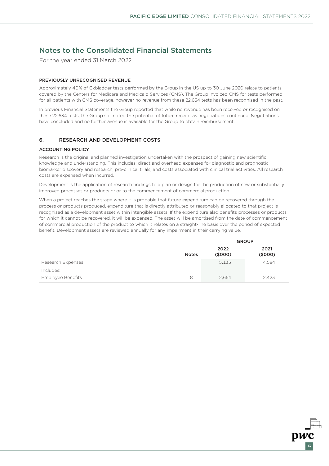For the year ended 31 March 2022

#### PREVIOUSLY UNRECOGNISED REVENUE

Approximately 40% of Cxbladder tests performed by the Group in the US up to 30 June 2020 relate to patients covered by the Centers for Medicare and Medicaid Services (CMS). The Group invoiced CMS for tests performed for all patients with CMS coverage, however no revenue from these 22,634 tests has been recognised in the past.

In previous Financial Statements the Group reported that while no revenue has been received or recognised on these 22,634 tests, the Group still noted the potential of future receipt as negotiations continued. Negotiations have concluded and no further avenue is available for the Group to obtain reimbursement.

### 6. RESEARCH AND DEVELOPMENT COSTS

#### ACCOUNTING POLICY

Research is the original and planned investigation undertaken with the prospect of gaining new scientific knowledge and understanding. This includes: direct and overhead expenses for diagnostic and prognostic biomarker discovery and research; pre-clinical trials; and costs associated with clinical trial activities. All research costs are expensed when incurred.

Development is the application of research findings to a plan or design for the production of new or substantially improved processes or products prior to the commencement of commercial production.

When a project reaches the stage where it is probable that future expenditure can be recovered through the process or products produced, expenditure that is directly attributed or reasonably allocated to that project is recognised as a development asset within intangible assets. If the expenditure also benefits processes or products for which it cannot be recovered, it will be expensed. The asset will be amortised from the date of commencement of commercial production of the product to which it relates on a straight-line basis over the period of expected benefit. Development assets are reviewed annually for any impairment in their carrying value.

|                          |              | <b>GROUP</b>    |                 |  |
|--------------------------|--------------|-----------------|-----------------|--|
|                          | <b>Notes</b> | 2022<br>(\$000) | 2021<br>(\$000) |  |
| Research Expenses        |              | 5,135           | 4,584           |  |
| Includes:                |              |                 |                 |  |
| <b>Employee Benefits</b> | 8            | 2.664           | 2,423           |  |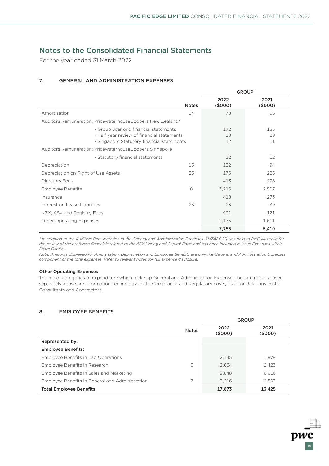For the year ended 31 March 2022

### 7. GENERAL AND ADMINISTRATION EXPENSES

|                                                                                                                                   |              | <b>GROUP</b>    |                   |
|-----------------------------------------------------------------------------------------------------------------------------------|--------------|-----------------|-------------------|
|                                                                                                                                   | <b>Notes</b> | 2022<br>(\$000) | 2021<br>(\$000)   |
| Amortisation                                                                                                                      | 14           | 78              | 55                |
| Auditors Remuneration: PricewaterhouseCoopers New Zealand*                                                                        |              |                 |                   |
| - Group year end financial statements<br>- Half year review of financial statements<br>- Singapore Statutory financial statements |              | 172<br>28<br>12 | 155<br>29<br>11   |
| Auditors Remuneration: PricewaterhouseCoopers Singapore                                                                           |              |                 |                   |
| - Statutory financial statements                                                                                                  |              | 12              | $12 \overline{ }$ |
| Depreciation                                                                                                                      | 13           | 132             | 94                |
| Depreciation on Right of Use Assets                                                                                               | 23           | 176             | 225               |
| Directors Fees                                                                                                                    |              | 413             | 278               |
| <b>Employee Benefits</b>                                                                                                          | 8            | 3,216           | 2,507             |
| Insurance                                                                                                                         |              | 418             | 273               |
| Interest on Lease Liabilities                                                                                                     | 23           | 23              | 39                |
| NZX, ASX and Registry Fees                                                                                                        |              | 901             | 121               |
| Other Operating Expenses                                                                                                          |              | 2,175           | 1,611             |
|                                                                                                                                   |              | 7,756           | 5,410             |

*\* In addition to the Auditors Remuneration in the General and Administration Expenses, \$NZ42,000 was paid to PwC Australia for the review of the proforma financials related to the ASX Listing and Capital Raise and has been included in Issue Expenses within Share Capital.* 

*Note: Amounts displayed for Amortisation, Depreciation and Employee Benefits are only the General and Administration Expenses component of the total expenses. Refer to relevant notes for full expense disclosure.*

#### Other Operating Expenses

The major categories of expenditure which make up General and Administration Expenses, but are not disclosed separately above are Information Technology costs, Compliance and Regulatory costs, Investor Relations costs, Consultants and Contractors.

### 8. EMPLOYEE BENEFITS

|                                                 |              | <b>GROUP</b>   |                 |
|-------------------------------------------------|--------------|----------------|-----------------|
|                                                 | <b>Notes</b> | 2022<br>(5000) | 2021<br>(\$000) |
| Represented by:                                 |              |                |                 |
| <b>Employee Benefits:</b>                       |              |                |                 |
| Employee Benefits in Lab Operations             |              | 2,145          | 1.879           |
| Employee Benefits in Research                   | 6            | 2.664          | 2.423           |
| Employee Benefits in Sales and Marketing        |              | 9.848          | 6.616           |
| Employee Benefits in General and Administration | 7            | 3.216          | 2,507           |
| <b>Total Employee Benefits</b>                  |              | 17,873         | 13,425          |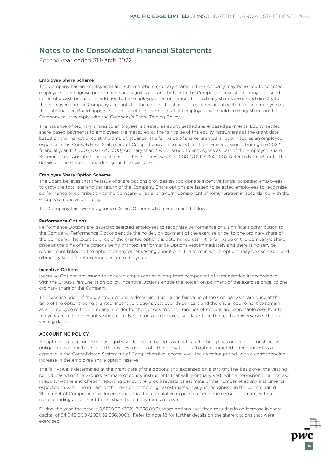For the year ended 31 March 2022

#### Employee Share Scheme

The Company has an Employee Share Scheme where ordinary shares in the Company may be issued to selected employees to recognise performance or a significant contribution to the Company. These shares may be issued in lieu of a cash bonus or in addition to the employee's remuneration. The ordinary shares are issued directly to the employee and the Company accounts for the cost of the shares. The shares are allocated to the employee on the date that the Board approves the issue of the share capital. All employees who hold ordinary shares in the Company must comply with the Company's Share Trading Policy.

The issuance of ordinary shares to employees is treated as equity settled share-based payments. Equity-settled share-based payments to employees are measured at the fair value of the equity instruments at the grant date based on the market price at the time of issuance. The fair value of shares granted is recognised as an employee expense in the Consolidated Statement of Comprehensive Income when the shares are issued. During the 2022 financial year, 123,000 (2021: 645,000) ordinary shares were issued to employees as part of the Employee Share Scheme. The associated non-cash cost of these shares was \$172,000 (2021: \$284,000). Refer to Note 18 for further details on the shares issued during the financial year.

#### Employee Share Option Scheme

The Board believes that the issue of share options provides an appropriate incentive for participating employees to grow the total shareholder return of the Company. Share options are issued to selected employees to recognise performance or contribution to the Company or as a long-term component of remuneration in accordance with the Group's remuneration policy.

The Company has two categories of Share Options which are outlined below:

#### Performance Options

Performance Options are issued to selected employees to recognise performance or a significant contribution to the Company. Performance Options entitle the holder, on payment of the exercise price, to one ordinary share of the Company. The exercise price of the granted options is determined using the fair value of the Company's share price at the time of the options being granted. Performance Options vest immediately and there is no service requirement linked to the options or any other vesting conditions. The term in which options may be exercised, and ultimately lapse if not exercised, is up to ten years.

#### Incentive Options

Incentive Options are issued to selected employees as a long-term component of remuneration in accordance with the Group's remuneration policy. Incentive Options entitle the holder, on payment of the exercise price, to one ordinary share of the Company.

The exercise price of the granted options is determined using the fair value of the Company's share price at the time of the options being granted. Incentive Options vest over three years and there is a requirement to remain as an employee of the Company in order for the options to vest. Tranches of options are exercisable over four to ten years from the relevant vesting date. No options can be exercised later than the tenth anniversary of the final vesting date.

#### ACCOUNTING POLICY

All options are accounted for as equity settled share based payments as the Group has no legal or constructive obligation to repurchase or settle any awards in cash. The fair value of all options granted is recognised as an expense in the Consolidated Statement of Comprehensive Income over their vesting period, with a corresponding increase in the employee share option reserve.

The fair value is determined at the grant date of the options and expensed on a straight-line basis over the vesting period, based on the Group's estimate of equity instruments that will eventually vest, with a corresponding increase in equity. At the end of each reporting period, the Group revisits its estimate of the number of equity instruments expected to vest. The impact of the revision of the original estimates, if any, is recognised in the Consolidated Statement of Comprehensive Income such that the cumulative expense reflects the revised estimate, with a corresponding adjustment to the share based payments reserve.

During the year, there were 5,527,000 (2021: 3,636,000) share options exercised resulting in an increase in share capital of \$4,040,000 (2021: \$2,636,000). Refer to note 18 for further details on the share options that were exercised.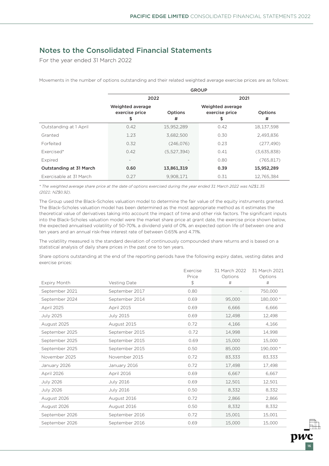For the year ended 31 March 2022

Movements in the number of options outstanding and their related weighted average exercise prices are as follows:

|                         | <b>GROUP</b>                             |                              |                                          |              |  |
|-------------------------|------------------------------------------|------------------------------|------------------------------------------|--------------|--|
|                         | 2022                                     |                              | 2021                                     |              |  |
|                         | Weighted average<br>exercise price<br>\$ | Options<br>#                 | Weighted average<br>exercise price<br>\$ | Options<br># |  |
| Outstanding at 1 April  | 0.42                                     | 15,952,289                   | 0.42                                     | 18,137,598   |  |
| Granted                 | 1.23                                     | 3,682,500                    | 0.30                                     | 2,493,836    |  |
| Forfeited               | 0.32                                     | (246.076)                    | 0.23                                     | (277, 490)   |  |
| Exercised*              | 0.42                                     | (5,527,394)                  | 0.41                                     | (3,635,838)  |  |
| Expired                 | $\overline{\phantom{a}}$                 | $\qquad \qquad \blacksquare$ | 0.80                                     | (765, 817)   |  |
| Outstanding at 31 March | 0.60                                     | 13,861,319                   | 0.39                                     | 15,952,289   |  |
| Exercisable at 31 March | 0.27                                     | 9,908,171                    | 0.31                                     | 12,765,384   |  |

*\* The weighted average share price at the date of options exercised during the year ended 31 March 2022 was NZ\$1.35 (2021: NZ\$0.92).*

The Group used the Black-Scholes valuation model to determine the fair value of the equity instruments granted. The Black-Scholes valuation model has been determined as the most appropriate method as it estimates the theoretical value of derivatives taking into account the impact of time and other risk factors. The significant inputs into the Black-Scholes valuation model were the market share price at grant date, the exercise price shown below, the expected annualised volatility of 50-70%, a dividend yield of 0%, an expected option life of between one and ten years and an annual risk-free interest rate of between 0.65% and 4.71%.

The volatility measured is the standard deviation of continuously compounded share returns and is based on a statistical analysis of daily share prices in the past one to ten years.

Share options outstanding at the end of the reporting periods have the following expiry dates, vesting dates and exercise prices:

|                     |                  | Exercise<br>Price | 31 March 2022<br>Options | 31 March 2021<br>Options |
|---------------------|------------------|-------------------|--------------------------|--------------------------|
| <b>Expiry Month</b> | Vesting Date     | \$                | #                        | #                        |
| September 2021      | September 2017   | 0.80              |                          | 750,000                  |
| September 2024      | September 2014   | 0.69              | 95,000                   | 180,000 *                |
| April 2025          | April 2015       | 0.69              | 6,666                    | 6,666                    |
| <b>July 2025</b>    | <b>July 2015</b> | 0.69              | 12,498                   | 12,498                   |
| August 2025         | August 2015      | 0.72              | 4,166                    | 4,166                    |
| September 2025      | September 2015   | 0.72              | 14,998                   | 14,998                   |
| September 2025      | September 2015   | 0.69              | 15,000                   | 15,000                   |
| September 2025      | September 2015   | 0.50              | 85,000                   | 190,000 *                |
| November 2025       | November 2015    | 0.72              | 83,333                   | 83,333                   |
| January 2026        | January 2016     | 0.72              | 17,498                   | 17,498                   |
| April 2026          | April 2016       | 0.69              | 6,667                    | 6,667                    |
| <b>July 2026</b>    | <b>July 2016</b> | 0.69              | 12,501                   | 12,501                   |
| <b>July 2026</b>    | <b>July 2016</b> | 0.50              | 8,332                    | 8,332                    |
| August 2026         | August 2016      | 0.72              | 2,866                    | 2,866                    |
| August 2026         | August 2016      | 0.50              | 8,332                    | 8,332                    |
| September 2026      | September 2016   | 0.72              | 15,001                   | 15,001                   |
| September 2026      | September 2016   | 0.69              | 15,000                   | 15,000                   |

16

pwc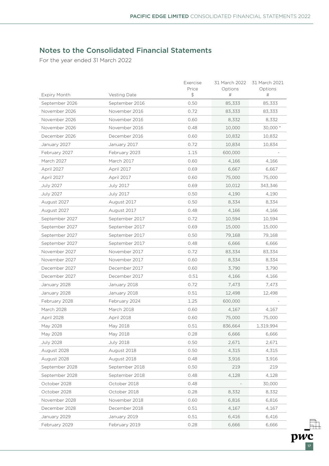$\overline{pw}$ 

# Notes to the Consolidated Financial Statements

For the year ended 31 March 2022

| Expiry Month     | Vesting Date     | Exercise<br>Price<br>$\updownarrow$ | 31 March 2022<br>Options<br># | 31 March 2021<br>Options<br># |
|------------------|------------------|-------------------------------------|-------------------------------|-------------------------------|
| September 2026   | September 2016   | 0.50                                | 85,333                        | 85,333                        |
| November 2026    | November 2016    | 0.72                                | 83,333                        | 83,333                        |
| November 2026    | November 2016    | 0.60                                | 8,332                         | 8,332                         |
| November 2026    | November 2016    | 0.48                                | 10,000                        | 30,000 *                      |
| December 2026    | December 2016    | 0.60                                | 10,832                        | 10,832                        |
| January 2027     | January 2017     | 0.72                                | 10,834                        | 10,834                        |
| February 2027    | February 2023    | 1.15                                | 600,000                       |                               |
| March 2027       | March 2017       | 0.60                                | 4,166                         | 4,166                         |
| April 2027       | April 2017       | 0.69                                | 6,667                         | 6,667                         |
| April 2027       | April 2017       | 0.60                                | 75,000                        | 75,000                        |
| <b>July 2027</b> | <b>July 2017</b> | 0.69                                | 10,012                        | 343,346                       |
| July 2027        | <b>July 2017</b> | 0.50                                | 4,190                         | 4,190                         |
| August 2027      | August 2017      | 0.50                                | 8,334                         | 8,334                         |
| August 2027      | August 2017      | 0.48                                | 4,166                         | 4,166                         |
| September 2027   | September 2017   | 0.72                                | 10,594                        | 10,594                        |
| September 2027   | September 2017   | 0.69                                | 15,000                        | 15,000                        |
| September 2027   | September 2017   | 0.50                                | 79,168                        | 79,168                        |
| September 2027   | September 2017   | 0.48                                | 6,666                         | 6,666                         |
| November 2027    | November 2017    | 0.72                                | 83,334                        | 83,334                        |
| November 2027    | November 2017    | 0.60                                | 8,334                         | 8,334                         |
| December 2027    | December 2017    | 0.60                                | 3,790                         | 3,790                         |
| December 2027    | December 2017    | 0.51                                | 4,166                         | 4,166                         |
| January 2028     | January 2018     | 0.72                                | 7,473                         | 7,473                         |
| January 2028     | January 2018     | 0.51                                | 12,498                        | 12,498                        |
| February 2028    | February 2024    | 1.25                                | 600,000                       |                               |
| March 2028       | March 2018       | 0.60                                | 4,167                         | 4,167                         |
| April 2028       | April 2018       | 0.60                                | 75,000                        | 75,000                        |
| May 2028         | May 2018         | 0.51                                | 836,664                       | 1,319,994                     |
| May 2028         | May 2018         | 0.28                                | 6,666                         | 6,666                         |
| <b>July 2028</b> | <b>July 2018</b> | 0.50                                | 2,671                         | 2,671                         |
| August 2028      | August 2018      | 0.50                                | 4,315                         | 4,315                         |
| August 2028      | August 2018      | 0.48                                | 3,916                         | 3,916                         |
| September 2028   | September 2018   | 0.50                                | 219                           | 219                           |
| September 2028   | September 2018   | 0.48                                | 4,128                         | 4,128                         |
| October 2028     | October 2018     | 0.48                                |                               | 30,000                        |
| October 2028     | October 2018     | 0.28                                | 8,332                         | 8,332                         |
| November 2028    | November 2018    | 0.60                                | 6,816                         | 6,816                         |
| December 2028    | December 2018    | 0.51                                | 4,167                         | 4,167                         |
| January 2029     | January 2019     | 0.51                                | 6,416                         | 6,416                         |
| February 2029    | February 2019    | 0.28                                | 6,666                         | 6,666                         |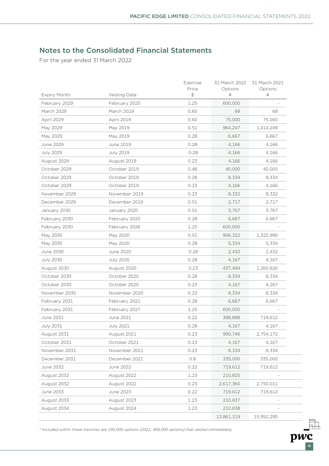18

pwc

# Notes to the Consolidated Financial Statements

For the year ended 31 March 2022

| Expiry Month     | Vesting Date     | Exercise<br>Price<br>$\frac{4}{5}$ | 31 March 2022<br>Options<br>$\#$ | 31 March 2021<br>Options<br>$\#$ |
|------------------|------------------|------------------------------------|----------------------------------|----------------------------------|
| February 2029    | February 2025    | 1.25                               | 600,000                          |                                  |
| March 2029       | March 2019       | 0.60                               | 68                               | 68                               |
| April 2029       | April 2019       | 0.60                               | 75,000                           | 75,000                           |
| May 2029         | May 2019         | 0.51                               | 964,247                          | 1,414,249                        |
| May 2029         | May 2019         | 0.28                               | 6,667                            | 6,667                            |
| June 2029        | June 2019        | 0.28                               | 4,166                            | 4,166                            |
| <b>July 2029</b> | <b>July 2019</b> | 0.28                               | 4,166                            | 4,166                            |
| August 2029      | August 2019      | 0.23                               | 4,166                            | 4,166                            |
| October 2029     | October 2019     | 0.48                               | 40,000                           | 40,000                           |
| October 2029     | October 2019     | 0.28                               | 8,334                            | 8,334                            |
| October 2029     | October 2019     | 0.23                               | 4,166                            | 4,166                            |
| November 2029    | November 2019    | 0.23                               | 8,332                            | 8,332                            |
| December 2029    | December 2019    | 0.51                               | 2,717                            | 2,717                            |
| January 2030     | January 2020     | 0.51                               | 3,767                            | 3,767                            |
| February 2030    | February 2020    | 0.28                               | 6,667                            | 6,667                            |
| February 2030    | February 2026    | 1.25                               | 600,000                          |                                  |
| May 2030         | May 2020         | 0.51                               | 906,322                          | 1,322,990                        |
| May 2030         | May 2020         | 0.28                               | 5,334                            | 5,334                            |
| June 2030        | June 2020        | 0.28                               | 2,432                            | 2,432                            |
| <b>July 2030</b> | <b>July 2020</b> | 0.28                               | 4,167                            | 4,167                            |
| August 2030      | August 2020      | 0.23                               | 437,494                          | 1,260,826                        |
| October 2030     | October 2020     | 0.28                               | 8,334                            | 8,334                            |
| October 2030     | October 2020     | 0.23                               | 4,167                            | 4,167                            |
| November 2030    | November 2020    | 0.23                               | 8,334                            | 8,334                            |
| February 2031    | February 2021    | 0.28                               | 6,667                            | 6,667                            |
| February 2031    | February 2027    | 1.25                               | 600,000                          |                                  |
| June 2031        | June 2021        | 0.22                               | 388,888                          | 719,612                          |
| July 2031        | July 2021        | 0.28                               | 4,167                            | 4,167                            |
| August 2031      | August 2021      | 0.23                               | 990,746                          | 2,754,172                        |
| October 2031     | October 2021     | 0.23                               | 4,167                            | 4,167                            |
| November 2031    | November 2021    | 0.23                               | 8,334                            | 8,334                            |
| December 2031    | December 2021    | 0.8                                | 335,000                          | 335,000                          |
| June 2032        | June 2022        | 0.22                               | 719,612                          | 719,612                          |
| August 2032      | August 2022      | 1.23                               | 210,825                          |                                  |
| August 2032      | August 2022      | 0.23                               | 2,617,360                        | 2,750,011                        |
| June 2033        | June 2023        | 0.22                               | 719,612                          | 719,612                          |
| August 2033      | August 2023      | 1.23                               | 210,837                          |                                  |
| August 2034      | August 2024      | 1.23                               | 210,838                          |                                  |
|                  |                  |                                    | 13,861,319                       | 15,952,290                       |

*\* Included within these tranches are 190,000 options (2021: 400,000 options) that vested immediately.*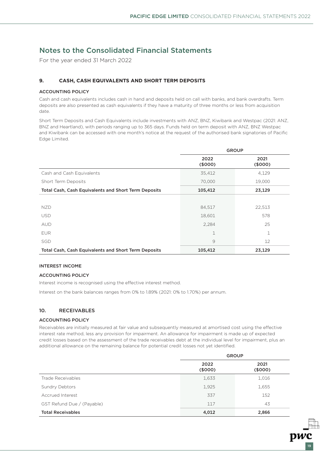For the year ended 31 March 2022

### **9. CASH, CASH EQUIVALENTS AND SHORT TERM DEPOSITS**

#### ACCOUNTING POLICY

Cash and cash equivalents includes cash in hand and deposits held on call with banks, and bank overdrafts. Term deposits are also presented as cash equivalents if they have a maturity of three months or less from acquisition date.

Short Term Deposits and Cash Equivalents include investments with ANZ, BNZ, Kiwibank and Westpac (2021: ANZ, BNZ and Heartland), with periods ranging up to 365 days. Funds held on term deposit with ANZ, BNZ Westpac and Kiwibank can be accessed with one month's notice at the request of the authorised bank signatories of Pacific Edge Limited.

|                                                             | <b>GROUP</b>    |                |  |
|-------------------------------------------------------------|-----------------|----------------|--|
|                                                             | 2022<br>(\$000) | 2021<br>(5000) |  |
| Cash and Cash Equivalents                                   | 35,412          | 4,129          |  |
| Short Term Deposits                                         | 70,000          | 19,000         |  |
| Total Cash, Cash Equivalents and Short Term Deposits        | 105,412         | 23,129         |  |
|                                                             |                 |                |  |
| <b>NZD</b>                                                  | 84,517          | 22,513         |  |
| <b>USD</b>                                                  | 18,601          | 578            |  |
| <b>AUD</b>                                                  | 2,284           | 25             |  |
| <b>EUR</b>                                                  | 1               | 1              |  |
| SGD                                                         | 9               | 12             |  |
| <b>Total Cash, Cash Equivalents and Short Term Deposits</b> | 105,412         | 23,129         |  |

#### INTEREST INCOME

#### ACCOUNTING POLICY

Interest income is recognised using the effective interest method.

Interest on the bank balances ranges from 0% to 1.89% (2021: 0% to 1.70%) per annum.

### 10. RECEIVABLES

#### ACCOUNTING POLICY

Receivables are initially measured at fair value and subsequently measured at amortised cost using the effective interest rate method, less any provision for impairment. An allowance for impairment is made up of expected credit losses based on the assessment of the trade receivables debt at the individual level for impairment, plus an additional allowance on the remaining balance for potential credit losses not yet identified.

|                            | <b>GROUP</b>    |                 |  |
|----------------------------|-----------------|-----------------|--|
|                            | 2022<br>(\$000) | 2021<br>(\$000) |  |
| Trade Receivables          | 1,633           | 1,016           |  |
| Sundry Debtors             | 1,925           | 1,655           |  |
| Accrued Interest           | 337             | 152             |  |
| GST Refund Due / (Payable) | 117             | 43              |  |
| <b>Total Receivables</b>   | 4,012           | 2,866           |  |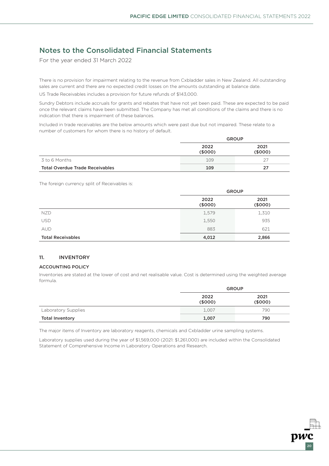For the year ended 31 March 2022

There is no provision for impairment relating to the revenue from Cxbladder sales in New Zealand. All outstanding sales are current and there are no expected credit losses on the amounts outstanding at balance date.

US Trade Receivables includes a provision for future refunds of \$143,000.

Sundry Debtors include accruals for grants and rebates that have not yet been paid. These are expected to be paid once the relevant claims have been submitted. The Company has met all conditions of the claims and there is no indication that there is impairment of these balances.

Included in trade receivables are the below amounts which were past due but not impaired. These relate to a number of customers for whom there is no history of default.

|                                        | <b>GROUP</b>    |                 |
|----------------------------------------|-----------------|-----------------|
|                                        | 2022<br>(\$000) | 2021<br>(\$000) |
| 3 to 6 Months                          | 109             |                 |
| <b>Total Overdue Trade Receivables</b> | 109             | 27              |

The foreign currency split of Receivables is:

|                          | <b>GROUP</b>    |                 |  |
|--------------------------|-----------------|-----------------|--|
|                          | 2022<br>(\$000) | 2021<br>(\$000) |  |
| NZD.                     | 1,579           | 1,310           |  |
| <b>USD</b>               | 1,550           | 935             |  |
| <b>AUD</b>               | 883             | 621             |  |
| <b>Total Receivables</b> | 4,012           | 2,866           |  |

### 11. INVENTORY

#### ACCOUNTING POLICY

Inventories are stated at the lower of cost and net realisable value. Cost is determined using the weighted average formula.

|                        | <b>GROUP</b>    |                 |  |
|------------------------|-----------------|-----------------|--|
|                        | 2022<br>(\$000) | 2021<br>(\$000) |  |
| Laboratory Supplies    | 1,007           | 790             |  |
| <b>Total Inventory</b> | 1,007           | 790             |  |

The major items of Inventory are laboratory reagents, chemicals and Cxbladder urine sampling systems.

Laboratory supplies used during the year of \$1,569,000 (2021: \$1,261,000) are included within the Consolidated Statement of Comprehensive Income in Laboratory Operations and Research.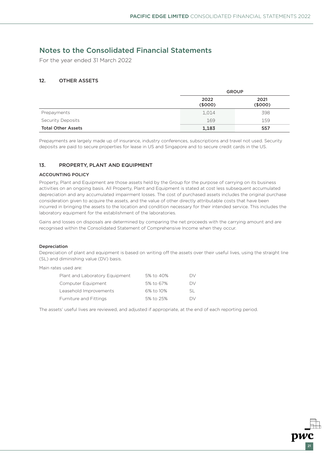21

### Notes to the Consolidated Financial Statements

For the year ended 31 March 2022

### **1**2. OTHER ASSETS

|                           | <b>GROUP</b>    |                 |  |
|---------------------------|-----------------|-----------------|--|
|                           | 2022<br>(\$000) | 2021<br>(\$000) |  |
| Prepayments               | 1,014           | 398             |  |
| <b>Security Deposits</b>  | 169             | 159             |  |
| <b>Total Other Assets</b> | 1,183           | 557             |  |

Prepayments are largely made up of insurance, industry conferences, subscriptions and travel not used. Security deposits are paid to secure properties for lease in US and Singapore and to secure credit cards in the US.

### 13. PROPERTY, PLANT AND EQUIPMENT

#### ACCOUNTING POLICY

Property, Plant and Equipment are those assets held by the Group for the purpose of carrying on its business activities on an ongoing basis. All Property, Plant and Equipment is stated at cost less subsequent accumulated depreciation and any accumulated impairment losses. The cost of purchased assets includes the original purchase consideration given to acquire the assets, and the value of other directly attributable costs that have been incurred in bringing the assets to the location and condition necessary for their intended service. This includes the laboratory equipment for the establishment of the laboratories.

Gains and losses on disposals are determined by comparing the net proceeds with the carrying amount and are recognised within the Consolidated Statement of Comprehensive Income when they occur.

#### Depreciation

Depreciation of plant and equipment is based on writing off the assets over their useful lives, using the straight line (SL) and diminishing value (DV) basis.

Main rates used are:

| Plant and Laboratory Equipment | 5% to 40% | DV. |
|--------------------------------|-----------|-----|
| Computer Equipment             | 5% to 67% | DV. |
| Leasehold Improvements         | 6% to 10% | SL. |
| Furniture and Fittings         | 5% to 25% | DV. |

The assets' useful lives are reviewed, and adjusted if appropriate, at the end of each reporting period.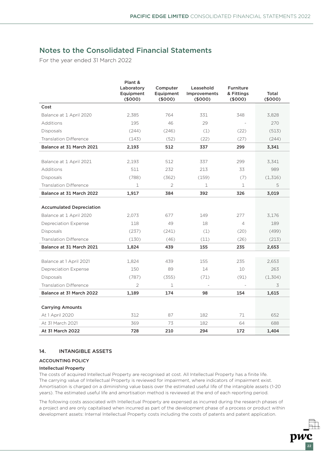For the year ended 31 March 2022

|                                 | Plant &<br>Laboratory<br>Equipment<br>(\$000) | Computer<br>Equipment<br>(\$000) | Leasehold<br><b>Improvements</b><br>(\$000) | <b>Furniture</b><br>& Fittings<br>(5000) | Total<br>(\$000) |
|---------------------------------|-----------------------------------------------|----------------------------------|---------------------------------------------|------------------------------------------|------------------|
| Cost                            |                                               |                                  |                                             |                                          |                  |
| Balance at 1 April 2020         | 2.385                                         | 764                              | 331                                         | 348                                      | 3,828            |
| Additions                       | 195                                           | 46                               | 29                                          |                                          | 270              |
| Disposals                       | (244)                                         | (246)                            | (1)                                         | (22)                                     | (513)            |
| <b>Translation Difference</b>   | (143)                                         | (52)                             | (22)                                        | (27)                                     | (244)            |
| Balance at 31 March 2021        | 2,193                                         | 512                              | 337                                         | 299                                      | 3,341            |
|                                 |                                               |                                  |                                             |                                          |                  |
| Balance at 1 April 2021         | 2,193                                         | 512                              | 337                                         | 299                                      | 3,341            |
| Additions                       | 511                                           | 232                              | 213                                         | 33                                       | 989              |
| Disposals                       | (788)                                         | (362)                            | (159)                                       | (7)                                      | (1,316)          |
| <b>Translation Difference</b>   | 1                                             | $\overline{2}$                   | 1                                           | 1                                        | 5                |
| Balance at 31 March 2022        | 1,917                                         | 384                              | 392                                         | 326                                      | 3,019            |
|                                 |                                               |                                  |                                             |                                          |                  |
| <b>Accumulated Depreciation</b> |                                               |                                  |                                             |                                          |                  |
| Balance at 1 April 2020         | 2,073                                         | 677                              | 149                                         | 277                                      | 3,176            |
| <b>Depreciation Expense</b>     | 118                                           | 49                               | 18                                          | $\overline{4}$                           | 189              |
| <b>Disposals</b>                | (237)                                         | (241)                            | (1)                                         | (20)                                     | (499)            |
| <b>Translation Difference</b>   | (130)                                         | (46)                             | (11)                                        | (26)                                     | (213)            |
| Balance at 31 March 2021        | 1,824                                         | 439                              | 155                                         | 235                                      | 2,653            |
|                                 |                                               |                                  |                                             |                                          |                  |
| Balance at 1 April 2021         | 1,824                                         | 439                              | 155                                         | 235                                      | 2,653            |
| Depreciation Expense            | 150                                           | 89                               | 14                                          | 10                                       | 263              |
| Disposals                       | (787)                                         | (355)                            | (71)                                        | (91)                                     | (1, 304)         |
| Translation Difference          | $\overline{2}$                                | $\mathbf{1}$                     |                                             |                                          | 3                |
| Balance at 31 March 2022        | 1,189                                         | 174                              | 98                                          | 154                                      | 1,615            |
|                                 |                                               |                                  |                                             |                                          |                  |
| <b>Carrying Amounts</b>         |                                               |                                  |                                             |                                          |                  |
| At 1 April 2020                 | 312                                           | 87                               | 182                                         | 71                                       | 652              |
| At 31 March 2021                | 369                                           | 73                               | 182                                         | 64                                       | 688              |
| At 31 March 2022                | 728                                           | 210                              | 294                                         | 172                                      | 1,404            |

### 14. INTANGIBLE ASSETS

### ACCOUNTING POLICY

#### Intellectual Property

The costs of acquired Intellectual Property are recognised at cost. All Intellectual Property has a finite life. The carrying value of Intellectual Property is reviewed for impairment, where indicators of impairment exist. Amortisation is charged on a diminishing value basis over the estimated useful life of the intangible assets (1-20 years). The estimated useful life and amortisation method is reviewed at the end of each reporting period.

The following costs associated with Intellectual Property are expensed as incurred during the research phases of a project and are only capitalised when incurred as part of the development phase of a process or product within development assets: Internal Intellectual Property costs including the costs of patents and patent application.

22

pwc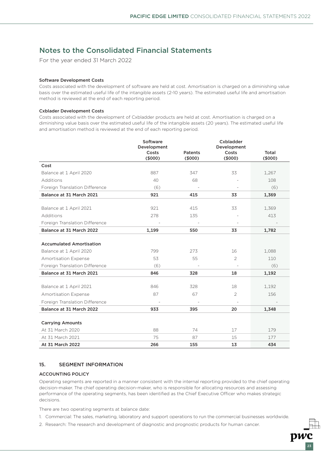For the year ended 31 March 2022

#### Software Development Costs

Costs associated with the development of software are held at cost. Amortisation is charged on a diminishing value basis over the estimated useful life of the intangible assets (2-10 years). The estimated useful life and amortisation method is reviewed at the end of each reporting period.

#### Cxblader Development Costs

Costs associated with the development of Cxbladder products are held at cost. Amortisation is charged on a diminishing value basis over the estimated useful life of the intangible assets (20 years). The estimated useful life and amortisation method is reviewed at the end of each reporting period.

|                                 | Software<br>Development |                          | Cxbladder<br>Development |                  |
|---------------------------------|-------------------------|--------------------------|--------------------------|------------------|
|                                 | Costs<br>(5000)         | <b>Patents</b><br>(5000) | Costs<br>(\$000)         | Total<br>(\$000) |
| Cost                            |                         |                          |                          |                  |
| Balance at 1 April 2020         | 887                     | 347                      | 33                       | 1,267            |
| Additions                       | 40                      | 68                       |                          | 108              |
| Foreign Translation Difference  | (6)                     |                          |                          | (6)              |
| Balance at 31 March 2021        | 921                     | 415                      | 33                       | 1,369            |
|                                 |                         |                          |                          |                  |
| Balance at 1 April 2021         | 921                     | 415                      | 33                       | 1,369            |
| Additions                       | 278                     | 135                      |                          | 413              |
| Foreign Translation Difference  |                         |                          |                          |                  |
| Balance at 31 March 2022        | 1,199                   | 550                      | 33                       | 1,782            |
|                                 |                         |                          |                          |                  |
| <b>Accumulated Amortisation</b> |                         |                          |                          |                  |
| Balance at 1 April 2020         | 799                     | 273                      | 16                       | 1,088            |
| Amortisation Expense            | 53                      | 55                       | $\overline{2}$           | 110              |
| Foreign Translation Difference  | (6)                     |                          |                          | (6)              |
| Balance at 31 March 2021        | 846                     | 328                      | 18                       | 1,192            |
|                                 |                         |                          |                          |                  |
| Balance at 1 April 2021         | 846                     | 328                      | 18                       | 1,192            |
| <b>Amortisation Expense</b>     | 87                      | 67                       | $\overline{2}$           | 156              |
| Foreign Translation Difference  |                         |                          |                          |                  |
| Balance at 31 March 2022        | 933                     | 395                      | 20                       | 1,348            |
|                                 |                         |                          |                          |                  |
| <b>Carrying Amounts</b>         |                         |                          |                          |                  |
| At 31 March 2020                | 88                      | 74                       | 17                       | 179              |
| At 31 March 2021                | 75                      | 87                       | 15                       | 177              |
| At 31 March 2022                | 266                     | 155                      | 13                       | 434              |

### 15. SEGMENT INFORMATION

#### ACCOUNTING POLICY

Operating segments are reported in a manner consistent with the internal reporting provided to the chief operating decision-maker. The chief operating decision-maker, who is responsible for allocating resources and assessing performance of the operating segments, has been identified as the Chief Executive Officer who makes strategic decisions.

There are two operating segments at balance date:

1. Commercial: The sales, marketing, laboratory and support operations to run the commercial businesses worldwide.

23

2. Research: The research and development of diagnostic and prognostic products for human cancer.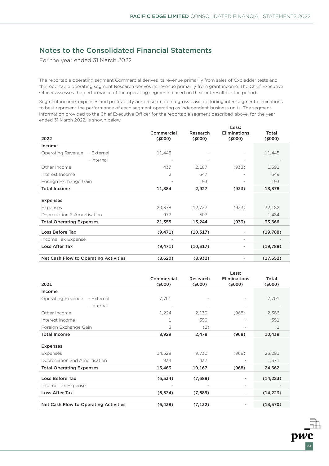For the year ended 31 March 2022

The reportable operating segment Commercial derives its revenue primarily from sales of Cxbladder tests and the reportable operating segment Research derives its revenue primarily from grant income. The Chief Executive Officer assesses the performance of the operating segments based on their net result for the period.

Segment income, expenses and profitability are presented on a gross basis excluding inter-segment eliminations to best represent the performance of each segment operating as independent business units. The segment information provided to the Chief Executive Officer for the reportable segment described above, for the year ended 31 March 2022, is shown below.

|                                       |                      |                     | Less:                         |                 |
|---------------------------------------|----------------------|---------------------|-------------------------------|-----------------|
| 2022                                  | Commercial<br>(5000) | Research<br>(\$000) | <b>Eliminations</b><br>(5000) | Total<br>(6000) |
| Income                                |                      |                     |                               |                 |
| Operating Revenue<br>- External       | 11,445               |                     |                               | 11,445          |
| - Internal                            |                      |                     |                               |                 |
| Other Income                          | 437                  | 2,187               | (933)                         | 1,691           |
| Interest Income                       | $\mathcal{P}$        | 547                 |                               | 549             |
| Foreign Exchange Gain                 |                      | 193                 |                               | 193             |
| <b>Total Income</b>                   | 11,884               | 2,927               | (933)                         | 13,878          |
| <b>Expenses</b>                       |                      |                     |                               |                 |
| Expenses                              | 20,378               | 12,737              | (933)                         | 32,182          |
| Depreciation & Amortisation           | 977                  | 507                 |                               | 1,484           |
| <b>Total Operating Expenses</b>       | 21,355               | 13,244              | (933)                         | 33,666          |
| <b>Loss Before Tax</b>                | (9, 471)             | (10, 317)           |                               | (19,788)        |
| Income Tax Expense                    |                      |                     | ٠                             |                 |
| <b>Loss After Tax</b>                 | (9, 471)             | (10, 317)           |                               | (19,788)        |
|                                       |                      |                     |                               |                 |
| Net Cash Flow to Operating Activities | (8,620)              | (8,932)             |                               | (17, 552)       |

|                                       | Less:                |                    |                               |                     |
|---------------------------------------|----------------------|--------------------|-------------------------------|---------------------|
| 2021                                  | Commercial<br>(5000) | Research<br>(5000) | <b>Eliminations</b><br>(5000) | Total<br>$($ \$000) |
| Income                                |                      |                    |                               |                     |
| Operating Revenue<br>- External       | 7,701                |                    |                               | 7,701               |
| - Internal                            |                      |                    |                               |                     |
| Other Income                          | 1,224                | 2,130              | (968)                         | 2,386               |
| Interest Income                       | 1                    | 350                |                               | 351                 |
| Foreign Exchange Gain                 | 3                    | (2)                |                               | 1                   |
| <b>Total Income</b>                   | 8,929                | 2,478              | (968)                         | 10,439              |
|                                       |                      |                    |                               |                     |
| <b>Expenses</b>                       |                      |                    |                               |                     |
| Expenses                              | 14,529               | 9,730              | (968)                         | 23,291              |
| Depreciation and Amortisation         | 934                  | 437                |                               | 1,371               |
| <b>Total Operating Expenses</b>       | 15,463               | 10,167             | (968)                         | 24,662              |
| Loss Before Tax                       | (6, 534)             | (7,689)            |                               | (14, 223)           |
| Income Tax Expense                    |                      |                    |                               |                     |
| Loss After Tax                        | (6, 534)             | (7,689)            |                               | (14, 223)           |
|                                       |                      |                    |                               |                     |
| Net Cash Flow to Operating Activities | (6, 438)             | (7, 132)           |                               | (13,570)            |

24

pwc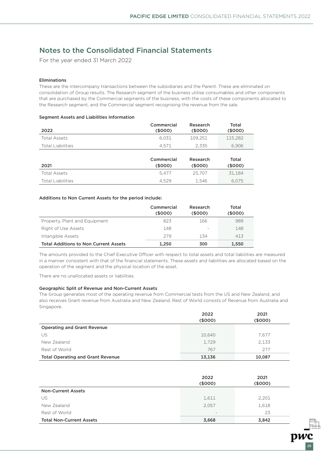For the year ended 31 March 2022

#### Eliminations

These are the intercompany transactions between the subsidiaries and the Parent. These are eliminated on consolidation of Group results. The Research segment of the business utilise consumables and other components that are purchased by the Commercial segments of the business, with the costs of these components allocated to the Research segment, and the Commercial segment recognising the revenue from the sale.

#### Segment Assets and Liabilities Information

| 2022                     | Commercial<br>(5000) | Research<br>(5000) | Total<br>(5000) |
|--------------------------|----------------------|--------------------|-----------------|
| <b>Total Assets</b>      | 6.031                | 109.251            | 115,282         |
| <b>Total Liabilities</b> | 4.571                | 2.335              | 6.906           |
|                          | Commercial           | Research           | Total           |

| 2021                     | <b>UUILLIUTUU</b><br>(5000) | 1153541 511<br>(5000) | .uu<br>(\$000) |
|--------------------------|-----------------------------|-----------------------|----------------|
| Total Assets             | 5.477                       | 25.707                | 31.184         |
| <b>Total Liabilities</b> | 4.529                       | 1.546                 | 6.075          |

#### Additions to Non Current Assets for the period include:

|                                              | Commercial<br>(\$000) | Research<br>(5000) | Total<br>(5000) |
|----------------------------------------------|-----------------------|--------------------|-----------------|
| Property, Plant and Equipment                | 823                   | 166                | 989             |
| Right of Use Assets                          | 148                   |                    | 148             |
| Intangible Assets                            | 279                   | 134                | 413             |
| <b>Total Additions to Non Current Assets</b> | 1.250                 | 300                | 1,550           |

The amounts provided to the Chief Executive Officer with respect to total assets and total liabilities are measured in a manner consistent with that of the financial statements. These assets and liabilities are allocated based on the operation of the segment and the physical location of the asset.

There are no unallocated assets or liabilities.

#### Geographic Split of Revenue and Non-Current Assets

The Group generates most of the operating revenue from Commercial tests from the US and New Zealand, and also receives Grant revenue from Australia and New Zealand. Rest of World consists of Revenue from Australia and Singapore.

|                                          | 2022    | 2021    |
|------------------------------------------|---------|---------|
|                                          | (\$000) | (\$000) |
| <b>Operating and Grant Revenue</b>       |         |         |
| US                                       | 10,640  | 7,677   |
| New Zealand                              | 1.729   | 2,133   |
| Rest of World                            | 767     | 277     |
| <b>Total Operating and Grant Revenue</b> | 13,136  | 10,087  |

|                                 | 2022<br>(\$000)          | 2021<br>(5000) |
|---------------------------------|--------------------------|----------------|
| <b>Non-Current Assets</b>       |                          |                |
| US                              | 1,611                    | 2,201          |
| New Zealand                     | 2,057                    | 1,618          |
| Rest of World                   | $\overline{\phantom{m}}$ | 23             |
| <b>Total Non-Current Assets</b> | 3,668                    | 3,842          |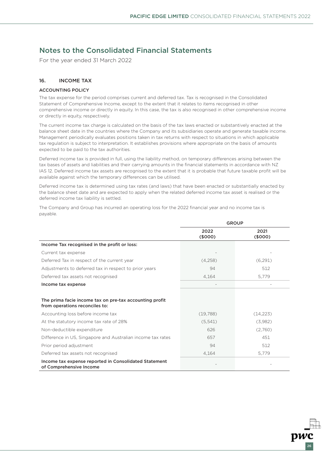For the year ended 31 March 2022

### 16. INCOME TAX

#### ACCOUNTING POLICY

The tax expense for the period comprises current and deferred tax. Tax is recognised in the Consolidated Statement of Comprehensive Income, except to the extent that it relates to items recognised in other comprehensive income or directly in equity. In this case, the tax is also recognised in other comprehensive income or directly in equity, respectively.

The current income tax charge is calculated on the basis of the tax laws enacted or substantively enacted at the balance sheet date in the countries where the Company and its subsidiaries operate and generate taxable income. Management periodically evaluates positions taken in tax returns with respect to situations in which applicable tax regulation is subject to interpretation. It establishes provisions where appropriate on the basis of amounts expected to be paid to the tax authorities.

Deferred income tax is provided in full, using the liability method, on temporary differences arising between the tax bases of assets and liabilities and their carrying amounts in the financial statements in accordance with NZ IAS 12. Deferred income tax assets are recognised to the extent that it is probable that future taxable profit will be available against which the temporary differences can be utilised.

Deferred income tax is determined using tax rates (and laws) that have been enacted or substantially enacted by the balance sheet date and are expected to apply when the related deferred income tax asset is realised or the deferred income tax liability is settled.

**GROUP** 2022  $(5000)$ 2021  $(5000)$ Income Tax recognised in the profit or loss: Current tax expense - -

The Company and Group has incurred an operating loss for the 2022 financial year and no income tax is payable.

|                                                                                           | <b>、 や ) し し し ノ</b> | <b>、やつつつ</b> |
|-------------------------------------------------------------------------------------------|----------------------|--------------|
| Income Tax recognised in the profit or loss:                                              |                      |              |
| Current tax expense                                                                       |                      |              |
| Deferred Tax in respect of the current year                                               | (4,258)              | (6,291)      |
| Adjustments to deferred tax in respect to prior years                                     | 94                   | 512          |
| Deferred tax assets not recognised                                                        | 4,164                | 5,779        |
| Income tax expense                                                                        |                      |              |
|                                                                                           |                      |              |
| The prima facie income tax on pre-tax accounting profit<br>from operations reconciles to: |                      |              |
| Accounting loss before income tax                                                         | (19,788)             | (14, 223)    |
| At the statutory income tax rate of 28%                                                   | (5, 541)             | (3,982)      |
| Non-deductible expenditure                                                                | 626                  | (2,760)      |
| Difference in US, Singapore and Australian income tax rates                               | 657                  | 451          |
| Prior period adjustment                                                                   | 94                   | 512          |
| Deferred tax assets not recognised                                                        | 4,164                | 5,779        |
| Income tax expense reported in Consolidated Statement<br>of Comprehensive Income          |                      |              |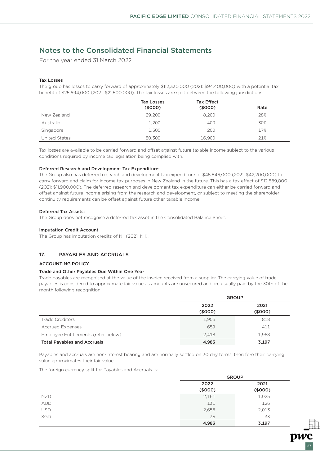For the year ended 31 March 2022

#### Tax Losses

The group has losses to carry forward of approximately \$112,330,000 (2021: \$94,400,000) with a potential tax benefit of \$25,694,000 (2021: \$21,500,000). The tax losses are split between the following jurisdictions:

|               | <b>Tax Losses</b><br>(5000) | <b>Tax Effect</b><br>(\$000) | Rate |
|---------------|-----------------------------|------------------------------|------|
| New Zealand   | 29,200                      | 8,200                        | 28%  |
| Australia     | 1,200                       | 400                          | 30%  |
| Singapore     | 1,500                       | 200                          | 17%  |
| United States | 80,300                      | 16.900                       | 21%  |

Tax losses are available to be carried forward and offset against future taxable income subject to the various conditions required by income tax legislation being complied with.

#### Deferred Research and Development Tax Expenditure:

The Group also has deferred research and development tax expenditure of \$45,846,000 (2021: \$42,200,000) to carry forward and claim for income tax purposes in New Zealand in the future. This has a tax effect of \$12,889,000 (2021: \$11,900,000). The deferred research and development tax expenditure can either be carried forward and offset against future income arising from the research and development, or subject to meeting the shareholder continuity requirements can be offset against future other taxable income.

#### Deferred Tax Assets:

The Group does not recognise a deferred tax asset in the Consolidated Balance Sheet.

#### Imputation Credit Account

The Group has imputation credits of Nil (2021: Nil).

### 17. PAYABLES AND ACCRUALS

#### ACCOUNTING POLICY

#### Trade and Other Payables Due Within One Year

Trade payables are recognised at the value of the invoice received from a supplier. The carrying value of trade payables is considered to approximate fair value as amounts are unsecured and are usually paid by the 30th of the month following recognition.

|                                     | <b>GROUP</b>    |                 |  |
|-------------------------------------|-----------------|-----------------|--|
|                                     | 2022<br>(\$000) | 2021<br>(\$000) |  |
| Trade Creditors                     | 1,906           | 818             |  |
| <b>Accrued Expenses</b>             | 659             | 411             |  |
| Employee Entitlements (refer below) | 2.418           | 1,968           |  |
| <b>Total Payables and Accruals</b>  | 4,983           | 3,197           |  |

Payables and accruals are non-interest bearing and are normally settled on 30 day terms, therefore their carrying value approximates their fair value.

The foreign currency split for Payables and Accruals is:

|            | <b>GROUP</b> |         |
|------------|--------------|---------|
|            | 2022         | 2021    |
|            | (\$000)      | (\$000) |
| <b>NZD</b> | 2,161        | 1,025   |
| <b>AUD</b> | 131          | 126     |
| <b>USD</b> | 2,656        | 2,013   |
| <b>SGD</b> | 35           | 33      |
|            | 4,983        | 3,197   |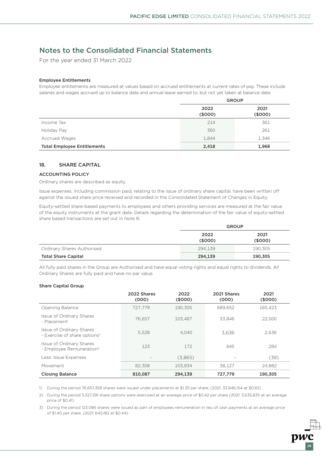For the year ended 31 March 2022

#### Employee Entitlements

Employee entitlements are measured at values based on accrued entitlements at current rates of pay. These include salaries and wages accrued up to balance date and annual leave earned to, but not yet taken at balance date.

|                                    | <b>GROUP</b>    |                 |  |
|------------------------------------|-----------------|-----------------|--|
|                                    | 2022<br>(\$000) | 2021<br>(\$000) |  |
| Income Tax                         | 214             | 361             |  |
| Holiday Pay                        | 360             | 261             |  |
| <b>Accrued Wages</b>               | 1,844           | 1,346           |  |
| <b>Total Employee Entitlements</b> | 2,418           | 1,968           |  |

### 18. SHARE CAPITAL

#### ACCOUNTING POLICY

Ordinary shares are described as equity.

Issue expenses, including commission paid, relating to the issue of ordinary share capital, have been written off against the issued share price received and recorded in the Consolidated Statement of Changes in Equity.

Equity-settled share-based payments to employees and others providing services are measured at the fair value of the equity instruments at the grant date. Details regarding the determination of the fair value of equity-settled share based transactions are set out in Note 8.

|                            | <b>GROUP</b> |         |
|----------------------------|--------------|---------|
|                            | 2022         | 2021    |
|                            | (\$000)      | (5000)  |
| Ordinary Shares Authorised | 294.139      | 190,305 |
| <b>Total Share Capital</b> | 294,139      | 190,305 |

All fully paid shares in the Group are Authorised and have equal voting rights and equal rights to dividends. All Ordinary Shares are fully paid and have no par value.

#### Share Capital Group

|                                                                      | 2022 Shares<br>(000) | 2022<br>(5000) | 2021 Shares<br>(000) | 2021<br>(\$000) |
|----------------------------------------------------------------------|----------------------|----------------|----------------------|-----------------|
| Opening Balance                                                      | 727.779              | 190.305        | 689.652              | 165.423         |
| Issue of Ordinary Shares<br>- Placement <sup>1</sup>                 | 76.657               | 103.487        | 33.846               | 22.000          |
| Issue of Ordinary Shares<br>- Exercise of share options <sup>2</sup> | 5,528                | 4.040          | 3.636                | 2.636           |
| Issue of Ordinary Shares<br>- Employee Remuneration <sup>3</sup>     | 123                  | 172            | 645                  | 284             |
| Less: Issue Expenses                                                 |                      | (3,865)        |                      | (38)            |
| Movement                                                             | 82.308               | 103.834        | 38.127               | 24,882          |
| <b>Closing Balance</b>                                               | 810.087              | 294.139        | 727.779              | 190.305         |

1) During the period 76,657,358 shares were issued under placements at \$1.35 per share. (2021: 33,846,154 at \$0.65)

2) During the period 5,527,391 share options were exercised at an average price of \$0.42 per share (2021: 3,635,835 at an average price of \$0.41)

3) During the period 123,086 shares were issued as part of employees remuneration in lieu of cash payments at an average price of \$1.40 per share. (2021: 645,182 at \$0.44)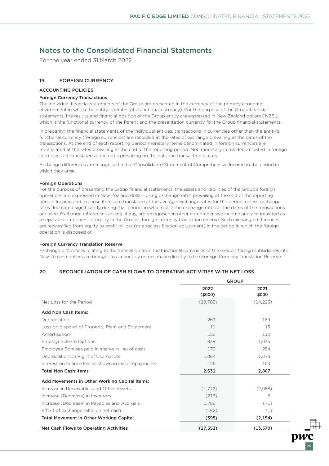For the year ended 31 March 2022

### 19. FOREIGN CURRENCY

#### ACCOUNTING POLICIES

#### Foreign Currency Transactions

The individual financial statements of the Group are presented in the currency of the primary economic environment in which the entity operates (its functional currency). For the purpose of the Group financial statements, the results and financial position of the Group entity are expressed in New Zealand dollars ('NZ\$'), which is the functional currency of the Parent and the presentation currency for the Group financial statements.

In preparing the financial statements of the individual entities, transactions in currencies other than the entity's functional currency (foreign currencies) are recorded at the rates of exchange prevailing at the dates of the transactions. At the end of each reporting period, monetary items denominated in foreign currencies are retranslated at the rates prevailing at the end of the reporting period. Non monetary items denominated in foreign currencies are translated at the rates prevailing on the date the transaction occurs.

Exchange differences are recognised in the Consolidated Statement of Comprehensive Income in the period in which they arise.

#### Foreign Operations

For the purpose of presenting the Group financial statements, the assets and liabilities of the Group's foreign operations are expressed in New Zealand dollars using exchange rates prevailing at the end of the reporting period. Income and expense items are translated at the average exchange rates for the period, unless exchange rates fluctuated significantly during that period, in which case the exchange rates at the dates of the transactions are used. Exchange differences arising, if any, are recognised in other comprehensive income and accumulated as a separate component of equity in the Group's foreign currency translation reserve. Such exchange differences are reclassified from equity to profit or loss (as a reclassification adjustment) in the period in which the foreign operation is disposed of.

#### Foreign Currency Translation Reserve

Exchange differences relating to the translation from the functional currencies of the Group's foreign subsidiaries into New Zealand dollars are brought to account by entries made directly to the Foreign Currency Translation Reserve.

### 20. RECONCILIATION OF CASH FLOWS TO OPERATING ACTIVITIES WITH NET LOSS

|                                                      | <b>GROUP</b> |           |  |
|------------------------------------------------------|--------------|-----------|--|
|                                                      | 2022         | 2021      |  |
|                                                      | (5000)       | \$000     |  |
| Net Loss for the Period                              | (19,788)     | (14, 223) |  |
| <b>Add Non Cash Items:</b>                           |              |           |  |
| Depreciation                                         | 263          | 189       |  |
| Loss on disposal of Property, Plant and Equipment    | 11           | 13        |  |
| Amortisation                                         | 156          | 110       |  |
| <b>Employee Share Options</b>                        | 839          | 1,035     |  |
| Employee Bonuses paid in shares in lieu of cash      | 172          | 284       |  |
| Depreciation on Right of Use Assets                  | 1,064        | 1,073     |  |
| Interest on finance leases shown in lease repayments | 126          | 103       |  |
| <b>Total Non Cash Items</b>                          | 2,631        | 2,807     |  |
| Add Movements in Other Working Capital items:        |              |           |  |
| Increase in Receivables and Other Assets             | (1,772)      | (2,088)   |  |
| Increase (Decrease) in Inventory                     | (217)        | 6         |  |
| Increase (Decrease) in Payables and Accruals         | 1,786        | (71)      |  |
| Effect of exchange rates on net cash                 | (192)        | (1)       |  |
| <b>Total Movement in Other Working Capital</b>       | (395)        | (2, 154)  |  |
| Net Cash Flows to Operating Activities               | (17, 552)    | (13,570)  |  |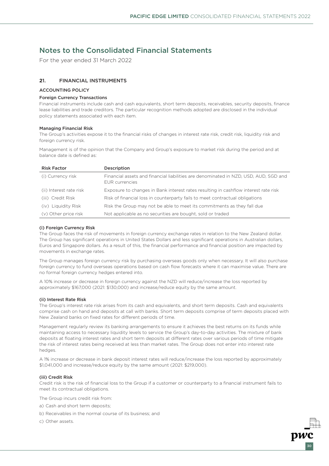For the year ended 31 March 2022

### **2**1. FINANCIAL INSTRUMENTS

#### ACCOUNTING POLICY

#### Foreign Currency Transactions

Financial instruments include cash and cash equivalents, short term deposits, receivables, security deposits, finance lease liabilities and trade creditors. The particular recognition methods adopted are disclosed in the individual policy statements associated with each item.

#### Managing Financial Risk

The Group's activities expose it to the financial risks of changes in interest rate risk, credit risk, liquidity risk and foreign currency risk.

Management is of the opinion that the Company and Group's exposure to market risk during the period and at balance date is defined as:

| <b>Risk Factor</b>      | Description                                                                                                   |
|-------------------------|---------------------------------------------------------------------------------------------------------------|
| (i) Currency risk       | Financial assets and financial liabilities are denominated in NZD, USD, AUD, SGD and<br><b>FUR</b> currencies |
| (ii) Interest rate risk | Exposure to changes in Bank interest rates resulting in cashflow interest rate risk                           |
| (iii) Credit Risk       | Risk of financial loss in counterparty fails to meet contractual obligations                                  |
| (iv) Liquidity Risk     | Risk the Group may not be able to meet its commitments as they fall due                                       |
| (v) Other price risk    | Not applicable as no securities are bought, sold or traded                                                    |

#### (i) Foreign Currency Risk

The Group faces the risk of movements in foreign currency exchange rates in relation to the New Zealand dollar. The Group has significant operations in United States Dollars and less significant operations in Australian dollars, Euros and Singapore dollars. As a result of this, the financial performance and financial position are impacted by movements in exchange rates.

The Group manages foreign currency risk by purchasing overseas goods only when necessary. It will also purchase foreign currency to fund overseas operations based on cash flow forecasts where it can maximise value. There are no formal foreign currency hedges entered into.

A 10% increase or decrease in foreign currency against the NZD will reduce/increase the loss reported by approximately \$167,000 (2021: \$130,000) and increase/reduce equity by the same amount.

#### (ii) Interest Rate Risk

The Group's interest rate risk arises from its cash and equivalents, and short term deposits. Cash and equivalents comprise cash on hand and deposits at call with banks. Short term deposits comprise of term deposits placed with New Zealand banks on fixed rates for different periods of time.

Management regularly review its banking arrangements to ensure it achieves the best returns on its funds while maintaining access to necessary liquidity levels to service the Group's day-to-day activities. The mixture of bank deposits at floating interest rates and short term deposits at different rates over various periods of time mitigate the risk of interest rates being received at less than market rates. The Group does not enter into interest rate hedges.

A 1% increase or decrease in bank deposit interest rates will reduce/increase the loss reported by approximately \$1,041,000 and increase/reduce equity by the same amount (2021: \$219,000).

#### (iii) Credit Risk

Credit risk is the risk of financial loss to the Group if a customer or counterparty to a financial instrument fails to meet its contractual obligations.

30

The Group incurs credit risk from:

- a) Cash and short term deposits;
- b) Receivables in the normal course of its business; and
- c) Other assets.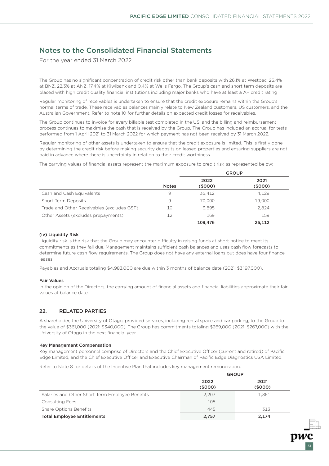For the year ended 31 March 2022

The Group has no significant concentration of credit risk other than bank deposits with 26.1% at Westpac, 25.4% at BNZ, 22.3% at ANZ, 17.4% at Kiwibank and 0.4% at Wells Fargo. The Group's cash and short term deposits are placed with high credit quality financial institutions including major banks who have at least a A+ credit rating

Regular monitoring of receivables is undertaken to ensure that the credit exposure remains within the Group's normal terms of trade. These receivables balances mainly relate to New Zealand customers, US customers, and the Australian Government. Refer to note 10 for further details on expected credit losses for receivables.

The Group continues to invoice for every billable test completed in the US, and the billing and reimbursement process continues to maximise the cash that is received by the Group. The Group has included an accrual for tests performed from 1 April 2021 to 31 March 2022 for which payment has not been received by 31 March 2022.

Regular monitoring of other assets is undertaken to ensure that the credit exposure is limited. This is firstly done by determining the credit risk before making security deposits on leased properties and ensuring suppliers are not paid in advance where there is uncertainty in relation to their credit worthiness.

The carrying values of financial assets represent the maximum exposure to credit risk as represented below:

|                                            | <b>GROUP</b> |                |                |
|--------------------------------------------|--------------|----------------|----------------|
|                                            | <b>Notes</b> | 2022<br>(5000) | 2021<br>(5000) |
| Cash and Cash Equivalents                  | 9            | 35.412         | 4,129          |
| Short Term Deposits                        | 9            | 70,000         | 19,000         |
| Trade and Other Receivables (excludes GST) | 10           | 3,895          | 2,824          |
| Other Assets (excludes prepayments)        | 12           | 169            | 159            |
|                                            |              | 109,476        | 26.112         |

#### (iv) Liquidity Risk

Liquidity risk is the risk that the Group may encounter difficulty in raising funds at short notice to meet its commitments as they fall due. Management maintains sufficient cash balances and uses cash flow forecasts to determine future cash flow requirements. The Group does not have any external loans but does have four finance leases.

Payables and Accruals totaling \$4,983,000 are due within 3 months of balance date (2021: \$3,197,000).

#### Fair Values

In the opinion of the Directors, the carrying amount of financial assets and financial liabilities approximate their fair values at balance date.

### 22. RELATED PARTIES

A shareholder, the University of Otago, provided services, including rental space and car parking, to the Group to the value of \$361,000 (2021: \$340,000). The Group has commitments totaling \$269,000 (2021: \$267,000) with the University of Otago in the next financial year.

#### Key Management Compensation

Key management personnel comprise of Directors and the Chief Executive Officer (current and retired) of Pacific Edge Limited, and the Chief Executive Officer and Executive Chairman of Pacific Edge Diagnostics USA Limited.

Refer to Note 8 for details of the Incentive Plan that includes key management remuneration.

|                                                 | <b>GROUP</b>    |                 |
|-------------------------------------------------|-----------------|-----------------|
|                                                 | 2022<br>(\$000) | 2021<br>(\$000) |
| Salaries and Other Short Term Employee Benefits | 2.207           | 1,861           |
| <b>Consulting Fees</b>                          | 105             |                 |
| Share Options Benefits                          | 445             | 313             |
| <b>Total Employee Entitlements</b>              | 2,757           | 2.174           |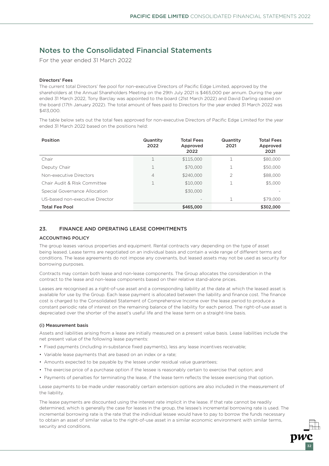For the year ended 31 March 2022

#### Directors' Fees

The current total Directors' fee pool for non-executive Directors of Pacific Edge Limited, approved by the shareholders at the Annual Shareholders Meeting on the 29th July 2021 is \$465,000 per annum. During the year ended 31 March 2022, Tony Barclay was appointed to the board (21st March 2022) and David Darling ceased on the board (17th January 2022). The total amount of fees paid to Directors for the year ended 31 March 2022 was \$413,000.

The table below sets out the total fees approved for non-executive Directors of Pacific Edge Limited for the year ended 31 March 2022 based on the positions held:

| Position                        | Quantity<br>2022 | <b>Total Fees</b><br>Approved<br>2022 | Quantity<br>2021 | <b>Total Fees</b><br>Approved<br>2021 |
|---------------------------------|------------------|---------------------------------------|------------------|---------------------------------------|
| Chair                           |                  | \$115,000                             |                  | \$80,000                              |
| Deputy Chair                    | 1                | \$70,000                              |                  | \$50,000                              |
| Non-executive Directors         | 4                | \$240,000                             | 2                | \$88,000                              |
| Chair Audit & Risk Committee    |                  | \$10,000                              |                  | \$5,000                               |
| Special Governance Allocation   |                  | \$30,000                              |                  |                                       |
| US-based non-executive Director |                  |                                       |                  | \$79,000                              |
| <b>Total Fee Pool</b>           |                  | \$465,000                             |                  | \$302,000                             |

#### 23. FINANCE AND OPERATING LEASE COMMITMENTS

#### ACCOUNTING POLICY

The group leases various properties and equipment. Rental contracts vary depending on the type of asset being leased. Lease terms are negotiated on an individual basis and contain a wide range of different terms and conditions. The lease agreements do not impose any covenants, but leased assets may not be used as security for borrowing purposes.

Contracts may contain both lease and non-lease components. The Group allocates the consideration in the contract to the lease and non-lease components based on their relative stand-alone prices.

Leases are recognised as a right-of-use asset and a corresponding liability at the date at which the leased asset is available for use by the Group. Each lease payment is allocated between the liability and finance cost. The finance cost is charged to the Consolidated Statement of Comprehensive Income over the lease period to produce a constant periodic rate of interest on the remaining balance of the liability for each period. The right-of-use asset is depreciated over the shorter of the asset's useful life and the lease term on a straight-line basis.

#### (i) Measurement basis

Assets and liabilities arising from a lease are initially measured on a present value basis. Lease liabilities include the net present value of the following lease payments:

- Fixed payments (including in-substance fixed payments), less any lease incentives receivable;
- Variable lease payments that are based on an index or a rate;
- Amounts expected to be payable by the lessee under residual value guarantees;
- The exercise price of a purchase option if the lessee is reasonably certain to exercise that option; and
- Payments of penalties for terminating the lease, if the lease term reflects the lessee exercising that option.

Lease payments to be made under reasonably certain extension options are also included in the measurement of the liability.

The lease payments are discounted using the interest rate implicit in the lease. If that rate cannot be readily determined, which is generally the case for leases in the group, the lessee's incremental borrowing rate is used. The incremental borrowing rate is the rate that the individual lessee would have to pay to borrow the funds necessary to obtain an asset of similar value to the right-of-use asset in a similar economic environment with similar terms, security and conditions.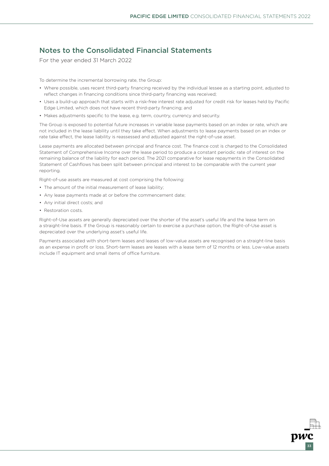33

# Notes to the Consolidated Financial Statements

For the year ended 31 March 2022

To determine the incremental borrowing rate, the Group:

- Where possible, uses recent third-party financing received by the individual lessee as a starting point, adjusted to reflect changes in financing conditions since third-party financing was received;
- Uses a build-up approach that starts with a risk-free interest rate adjusted for credit risk for leases held by Pacific Edge Limited, which does not have recent third-party financing; and
- Makes adjustments specific to the lease, e.g. term, country, currency and security.

The Group is exposed to potential future increases in variable lease payments based on an index or rate, which are not included in the lease liability until they take effect. When adjustments to lease payments based on an index or rate take effect, the lease liability is reassessed and adjusted against the right-of-use asset.

Lease payments are allocated between principal and finance cost. The finance cost is charged to the Consolidated Statement of Comprehensive Income over the lease period to produce a constant periodic rate of interest on the remaining balance of the liability for each period. The 2021 comparative for lease repayments in the Consolidated Statement of Cashflows has been split between principal and interest to be comparable with the current year reporting.

Right-of-use assets are measured at cost comprising the following:

- The amount of the initial measurement of lease liability;
- Any lease payments made at or before the commencement date;
- Any initial direct costs; and
- Restoration costs.

Right-of-Use assets are generally depreciated over the shorter of the asset's useful life and the lease term on a straight-line basis. If the Group is reasonably certain to exercise a purchase option, the Right-of-Use asset is depreciated over the underlying asset's useful life.

Payments associated with short-term leases and leases of low-value assets are recognised on a straight-line basis as an expense in profit or loss. Short-term leases are leases with a lease term of 12 months or less. Low-value assets include IT equipment and small items of office furniture.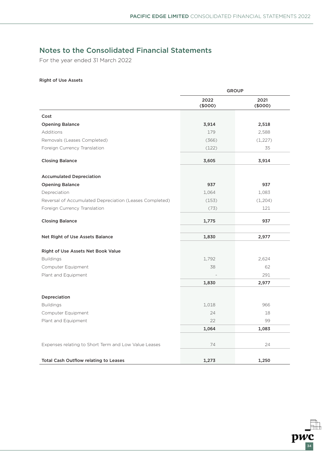$\overline{pwc}$ <sub>34</sub>

# Notes to the Consolidated Financial Statements

For the year ended 31 March 2022

### Right of Use Assets

|                                                         | <b>GROUP</b>    |                 |
|---------------------------------------------------------|-----------------|-----------------|
|                                                         | 2022<br>(\$000) | 2021<br>(\$000) |
| Cost                                                    |                 |                 |
| <b>Opening Balance</b>                                  | 3,914           | 2,518           |
| Additions                                               | 179             | 2,588           |
| Removals (Leases Completed)                             | (366)           | (1,227)         |
| Foreign Currency Translation                            | (122)           | 35              |
| <b>Closing Balance</b>                                  | 3,605           | 3,914           |
| <b>Accumulated Depreciation</b>                         |                 |                 |
| <b>Opening Balance</b>                                  | 937             | 937             |
| Depreciation                                            | 1,064           | 1,083           |
| Reversal of Accumulated Depreciation (Leases Completed) | (153)           | (1,204)         |
| Foreign Currency Translation                            | (73)            | 121             |
| <b>Closing Balance</b>                                  | 1,775           | 937             |
| Net Right of Use Assets Balance                         | 1,830           | 2,977           |
| Right of Use Assets Net Book Value                      |                 |                 |
| <b>Buildings</b>                                        | 1,792           | 2,624           |
| Computer Equipment                                      | 38              | 62              |
| Plant and Equipment                                     |                 | 291             |
|                                                         | 1,830           | 2,977           |
| Depreciation                                            |                 |                 |
| <b>Buildings</b>                                        | 1,018           | 966             |
| Computer Equipment                                      | 24              | 18              |
| Plant and Equipment                                     | 22              | 99              |
|                                                         | 1,064           | 1,083           |
| Expenses relating to Short Term and Low Value Leases    | 74              | 24              |
|                                                         |                 |                 |
| <b>Total Cash Outflow relating to Leases</b>            | 1,273           | 1,250           |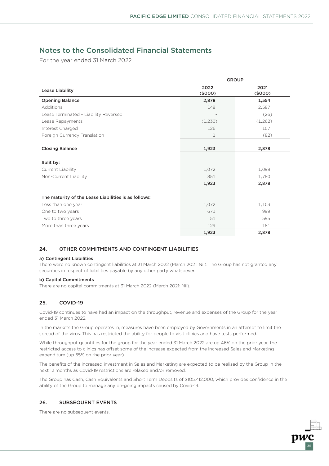For the year ended 31 March 2022

|                                                      | <b>GROUP</b>    |                 |  |
|------------------------------------------------------|-----------------|-----------------|--|
| <b>Lease Liability</b>                               | 2022<br>(\$000) | 2021<br>(\$000) |  |
| <b>Opening Balance</b>                               | 2,878           | 1,554           |  |
| Additions                                            | 148             | 2,587           |  |
| Lease Terminated - Liability Reversed                |                 | (26)            |  |
| Lease Repayments                                     | (1,230)         | (1,262)         |  |
| Interest Charged                                     | 126             | 107             |  |
| Foreign Currency Translation                         | 1               | (82)            |  |
|                                                      |                 |                 |  |
| <b>Closing Balance</b>                               | 1,923           | 2,878           |  |
| Split by:                                            |                 |                 |  |
| Current Liability                                    | 1,072           | 1,098           |  |
| Non-Current Liability                                | 851             | 1,780           |  |
|                                                      | 1,923           | 2,878           |  |
|                                                      |                 |                 |  |
| The maturity of the Lease Liabilities is as follows: |                 |                 |  |
| Less than one year                                   | 1,072           | 1,103           |  |
| One to two years                                     | 671             | 999             |  |
| Two to three years                                   | 51              | 595             |  |
| More than three years                                | 129             | 181             |  |
|                                                      | 1,923           | 2,878           |  |

### 24. OTHER COMMITMENTS AND CONTINGENT LIABILITIES

#### a) Contingent Liabilities

There were no known contingent liabilities at 31 March 2022 (March 2021: Nil). The Group has not granted any securities in respect of liabilities payable by any other party whatsoever.

#### b) Capital Commitments

There are no capital commitments at 31 March 2022 (March 2021: Nil).

### 25. COVID-19

Covid-19 continues to have had an impact on the throughput, revenue and expenses of the Group for the year ended 31 March 2022.

In the markets the Group operates in, measures have been employed by Governments in an attempt to limit the spread of the virus. This has restricted the ability for people to visit clinics and have tests performed.

While throughput quantities for the group for the year ended 31 March 2022 are up 46% on the prior year, the restricted access to clinics has offset some of the increase expected from the increased Sales and Marketing expenditure (up 55% on the prior year).

The benefits of the increased investment in Sales and Marketing are expected to be realised by the Group in the next 12 months as Covid-19 restrictions are relaxed and/or removed.

The Group has Cash, Cash Equivalents and Short Term Deposits of \$105,412,000, which provides confidence in the ability of the Group to manage any on-going impacts caused by Covid-19.

35

### 26. SUBSEQUENT EVENTS

There are no subsequent events.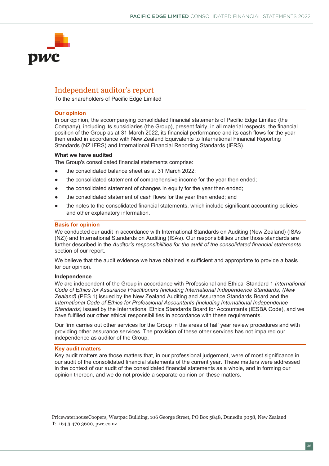

# Independent auditor's report **Our opinion**

To the shareholders of Pacific Edge Limited (the accompanying consolidated financial statements of Pacific Edge  $\overline{\phantom{a}}$ , including its subsidiary), present fairly, present fairly, in all material respectively.

#### **Our opinion**  position of the Group as at 31 March 2022, its financial performance and its cash flows for the year

In our opinion, the accompanying consolidated financial statements of Pacific Edge Limited (the Company), including its subsidiaries (the Group), present fairly, in all material respects, the financial position of the Group as at 31 March 2022, its financial performance and its cash flows for the year then ended in accordance with New Zealand Equivalents to International Financial Reporting Standards (NZ IFRS) and International Financial Reporting Standards (IFRS). then ended in accordance with New Zealand Equivalents to International Financial Reporting In our opinion, the accompanying consolidated imancial statements of Pacific i

### **What we have audited statement of comprehensive income for the year then ended;**

The Group's consolidated financial statements comprise:

- $\bullet$  the consolidated balance sheet as at 31 March 2022;
- $\bullet$  the consolidated statement of comprehensive income for the year then ended;
- the consolidated statement of changes in equity for the year then ended;
- the consolidated statement of cash flows for the year then ended; and
- the notes to the consolidated financial statements, which include significant accounting policies and other explanatory information. We conduct the consolidated miancial statements, which include significant accounting policies

#### **Basis for opinion** further described in the *Auditor's responsibilities for the audit of the consolidated financial statements*

We conducted our audit in accordance with International Standards on Auditing (New Zealand) (ISAs (NZ)) and International Standards on Auditing (ISAs). Our responsibilities under those standards are further described in the Auditor's responsibilities for the audit of the consolidated financial statements section of our report.

We believe that the audit evidence we have obtained is sufficient and appropriate to provide a basis for our opinion. *Code of Ethics for Assurance Practitioners (including International Independence Standards) (New* 

#### **Independence** *Zealand)* (PES 1) issued by the New Zealand Auditing and Assurance Standards Board and the

**independence**<br>We are independent of the Group in accordance with Professional and Ethical Standard 1 *International* Code of Ethics for Assurance Practitioners (including International Independence Standards) (New and the setting the metallo requirements. The setting of the metallities in a condition of the metallities in a condition of *Zealand)* (PES 1) issued by the New Zealand Auditing and Assurance Standards Board and the International Code of Ethics for Professional Accountants (including International Independence Standards) issued by the International Ethics Standards Board for Accountants (IESBA Code), and we have fulfilled our other ethical responsibilities in accordance with these requirements. we are independent of the Group in accordance with Professional and Ethical Standard F*international* 

Our firm carries out other services for the Group in the areas of half year review procedures and with providing other assurance services. The provision of these other services has not impaired our independence as auditor of the Group. These matters were addressed financial statements were addressed for the

#### **Key audit matters**  in the context of our audit of the consolidated financial statements as a whole, and in forming our in forming our  $\alpha$

**rey audit matters**<br>Key audit matters are those matters that, in our professional judgement, were of most significance in our audit of the consolidated financial statements of the current year. These matters were addressed in the context of our audit of the consolidated financial statements as a whole, and in forming our opinion thereon, and we do not provide a separate opinion on these matters.

PricewaterhouseCoopers, Westpac Building, 106 George Street, PO Box 5848, Dunedin 9058, New Zealand T: +64 3 470 3600, pwc.co.nz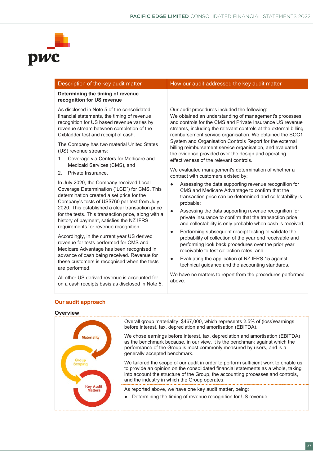

#### **recognition for US revenue** As disclosed in Note 5 of the consolidated financial statements, the timing of revenue recognition for US based revenue varies by revenue stream between completion of the Cxbladder test and receipt of cash. The Company has two material United States (US) revenue streams: 1. Coverage via Centers for Medicare and Medicaid Services (CMS), and 2. Private Insurance. In July 2020, the Company received Local Coverage Determination ("LCD") for CMS. This determination created a set price for the Company's tests of US\$760 per test from July 2020. This established a clear transaction price Our audit procedures included the following: We obtained an understanding of management's processes and controls for the CMS and Private Insurance US revenue streams, including the relevant controls at the external billing reimbursement service organisation. We obtained the SOC1 System and Organisation Controls Report for the external billing reimbursement service organisation, and evaluated the evidence provided over the design and operating effectiveness of the relevant controls. We evaluated management's determination of whether a contract with customers existed by: ● Assessing the data supporting revenue recognition for CMS and Medicare Advantage to confirm that the transaction price can be determined and collectability is probable;

Description of the key audit matter **How our audit addressed the key audit matter** 

Assessing the data supporting revenue recognition for private insurance to confirm that the transaction price and collectability is only probable when cash is received;

- Performing subsequent receipt testing to validate the probability of collection of the year end receivable and performing look back procedures over the prior year receivable to test collection rates; and
- Evaluating the application of NZ IFRS 15 against technical guidance and the accounting standards.

We have no matters to report from the procedures performed above.

### **Our audit approach**

are performed.

**Determining the timing of revenue** 

for the tests. This transaction price, along with a history of payment, satisfies the NZ IFRS requirements for revenue recognition.

Accordingly, in the current year US derived revenue for tests performed for CMS and Medicare Advantage has been recognised in advance of cash being received. Revenue for these customers is recognised when the tests

All other US derived revenue is accounted for on a cash receipts basis as disclosed in Note 5.

#### **Overview**

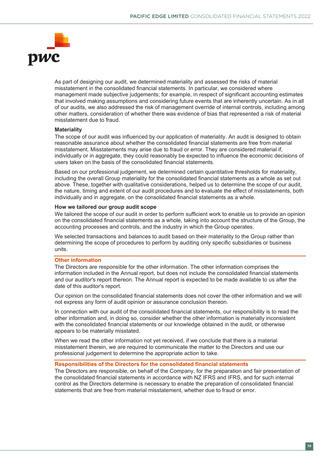

As part of designing our audit, we determined materiality and assessed the risks of material misstatement in the consolidated financial statements. In particular, we considered where management made subjective judgements; for example, in respect of significant accounting estimates that involved making assumptions and considering future events that are inherently uncertain. As in all of our audits, we also addressed the risk of management override of internal controls, including among other matters, consideration of whether there was evidence of bias that represented a risk of material misstatement due to fraud.

### **Materiality**

The scope of our audit was influenced by our application of materiality. An audit is designed to obtain reasonable assurance about whether the consolidated financial statements are free from material misstatement. Misstatements may arise due to fraud or error. They are considered material if, individually or in aggregate, they could reasonably be expected to influence the economic decisions of users taken on the basis of the consolidated financial statements.

Based on our professional judgement, we determined certain quantitative thresholds for materiality, including the overall Group materiality for the consolidated financial statements as a whole as set out above. These, together with qualitative considerations, helped us to determine the scope of our audit, the nature, timing and extent of our audit procedures and to evaluate the effect of misstatements, both individually and in aggregate, on the consolidated financial statements as a whole.

#### **How we tailored our group audit scope**

We tailored the scope of our audit in order to perform sufficient work to enable us to provide an opinion on the consolidated financial statements as a whole, taking into account the structure of the Group, the accounting processes and controls, and the industry in which the Group operates.

We selected transactions and balances to audit based on their materiality to the Group rather than determining the scope of procedures to perform by auditing only specific subsidiaries or business units.

### **Other information**

The Directors are responsible for the other information. The other information comprises the information included in the Annual report, but does not include the consolidated financial statements and our auditor's report thereon. The Annual report is expected to be made available to us after the date of this auditor's report.

Our opinion on the consolidated financial statements does not cover the other information and we will not express any form of audit opinion or assurance conclusion thereon.

In connection with our audit of the consolidated financial statements, our responsibility is to read the other information and, in doing so, consider whether the other information is materially inconsistent with the consolidated financial statements or our knowledge obtained in the audit, or otherwise appears to be materially misstated.

When we read the other information not yet received, if we conclude that there is a material misstatement therein, we are required to communicate the matter to the Directors and use our professional judgement to determine the appropriate action to take.

### **Responsibilities of the Directors for the consolidated financial statements**

The Directors are responsible, on behalf of the Company, for the preparation and fair presentation of the consolidated financial statements in accordance with NZ IFRS and IFRS, and for such internal control as the Directors determine is necessary to enable the preparation of consolidated financial statements that are free from material misstatement, whether due to fraud or error.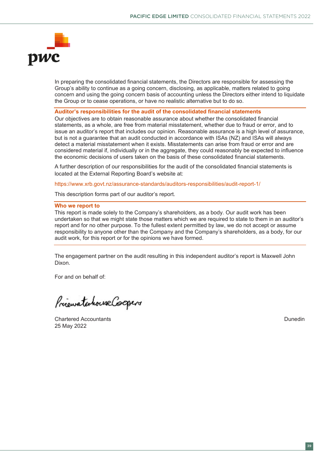

In preparing the consolidated financial statements, the Directors are responsible for assessing the Group's ability to continue as a going concern, disclosing, as applicable, matters related to going concern and using the going concern basis of accounting unless the Directors either intend to liquidate the Group or to cease operations, or have no realistic alternative but to do so.

#### **Auditor's responsibilities for the audit of the consolidated financial statements**

Our objectives are to obtain reasonable assurance about whether the consolidated financial statements, as a whole, are free from material misstatement, whether due to fraud or error, and to issue an auditor's report that includes our opinion. Reasonable assurance is a high level of assurance, but is not a guarantee that an audit conducted in accordance with ISAs (NZ) and ISAs will always detect a material misstatement when it exists. Misstatements can arise from fraud or error and are considered material if, individually or in the aggregate, they could reasonably be expected to influence the economic decisions of users taken on the basis of these consolidated financial statements.

A further description of our responsibilities for the audit of the consolidated financial statements is located at the External Reporting Board's website at:

https://www.xrb.govt.nz/assurance-standards/auditors-responsibilities/audit-report-1/

This description forms part of our auditor's report.

#### **Who we report to**

This report is made solely to the Company's shareholders, as a body. Our audit work has been undertaken so that we might state those matters which we are required to state to them in an auditor's report and for no other purpose. To the fullest extent permitted by law, we do not accept or assume responsibility to anyone other than the Company and the Company's shareholders, as a body, for our audit work, for this report or for the opinions we have formed.

The engagement partner on the audit resulting in this independent auditor's report is Maxwell John Dixon.

For and on behalf of:

PriematenhouseCooper

Chartered Accountants Dunedin 25 May 2022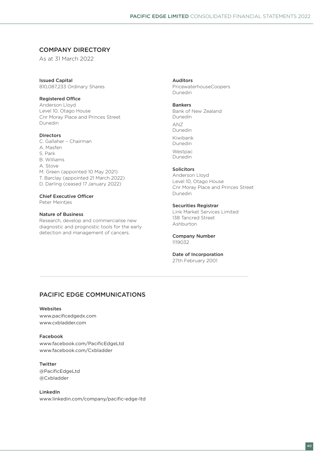### COMPANY DIRECTORY

As at 31 March 2022

Issued Capital 810,087,233 Ordinary Shares

Registered Office

Anderson Lloyd Level 10, Otago House Cnr Moray Place and Princes Street Dunedin

#### Directors

C. Gallaher – Chairman A. Masfen S. Park B. Williams A. Stove M. Green (appointed 10 May 2021) T. Barclay (appointed 21 March 2022) D. Darling (ceased 17 January 2022)

### Chief Executive Officer

Peter Meinties

#### Nature of Business

Research, develop and commercialise new diagnostic and prognostic tools for the early detection and management of cancers.

Auditors

PricewaterhouseCoopers Dunedin

#### Bankers

Bank of New Zealand Dunedin ANZ Dunedin Kiwibank Dunedin

Westpac Dunedin

#### Solicitors

Anderson Lloyd Level 10, Otago House Cnr Moray Place and Princes Street Dunedin

#### Securities Registrar

Link Market Services Limited 138 Tancred Street Ashburton

#### Company Number 1119032

### Date of Incorporation

27th February 2001

### PACIFIC EDGE COMMUNICATIONS

#### Websites

www.pacificedgedx.com www.cxbladder.com

#### Facebook

www.facebook.com/PacificEdgeLtd www.facebook.com/Cxbladder

#### Twitter

@PacificEdgeLtd @Cxbladder

#### LinkedIn www.linkedin.com/company/pacific-edge-ltd